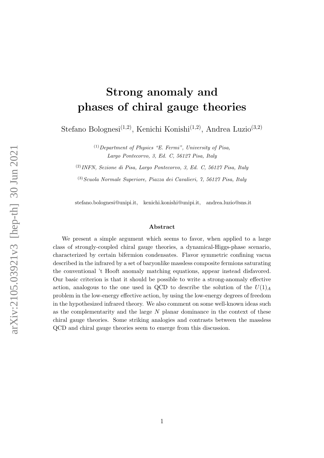# <span id="page-0-0"></span>Strong anomaly and phases of chiral gauge theories

Stefano Bolognesi<sup>(1,2)</sup>, Kenichi Konishi<sup>(1,2)</sup>, Andrea Luzio<sup>(3,2)</sup>

 $(1)$  Department of Physics "E. Fermi", University of Pisa, Largo Pontecorvo, 3, Ed. C, 56127 Pisa, Italy

(2)INFN, Sezione di Pisa, Largo Pontecorvo, 3, Ed. C, 56127 Pisa, Italy

 $(3) Scuola$  Normale Superiore, Piazza dei Cavalieri, 7, 56127 Pisa, Italy

stefano.bolognesi@unipi.it, kenichi.konishi@unipi.it, andrea.luzio@sns.it

#### Abstract

We present a simple argument which seems to favor, when applied to a large class of strongly-coupled chiral gauge theories, a dynamical-Higgs-phase scenario, characterized by certain bifermion condensates. Flavor symmetric confining vacua described in the infrared by a set of baryonlike massless composite fermions saturating the conventional 't Hooft anomaly matching equations, appear instead disfavored. Our basic criterion is that it should be possible to write a strong-anomaly effective action, analogous to the one used in QCD to describe the solution of the  $U(1)_A$ problem in the low-energy effective action, by using the low-energy degrees of freedom in the hypothesized infrared theory. We also comment on some well-known ideas such as the complementarity and the large  $N$  planar dominance in the context of these chiral gauge theories. Some striking analogies and contrasts between the massless QCD and chiral gauge theories seem to emerge from this discussion.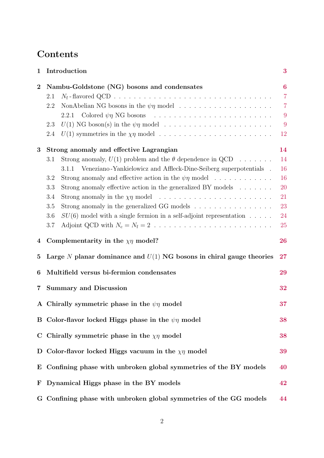# Contents

| 1                | Introduction<br>3                                                                                   |                  |  |  |  |
|------------------|-----------------------------------------------------------------------------------------------------|------------------|--|--|--|
| $\boldsymbol{2}$ | Nambu-Goldstone (NG) bosons and condensates                                                         | $\boldsymbol{6}$ |  |  |  |
|                  | 2.1                                                                                                 | $\overline{7}$   |  |  |  |
|                  | 2.2                                                                                                 | $\overline{7}$   |  |  |  |
|                  |                                                                                                     | 9                |  |  |  |
|                  | $U(1)$ NG boson(s) in the $\psi\eta$ model<br>2.3                                                   | 9                |  |  |  |
|                  | $U(1)$ symmetries in the $\chi \eta$ model<br>2.4                                                   | 12               |  |  |  |
| 3                | Strong anomaly and effective Lagrangian                                                             | 14               |  |  |  |
|                  | Strong anomaly, $U(1)$ problem and the $\theta$ dependence in QCD<br>3.1                            | 14               |  |  |  |
|                  | Veneziano-Yankielowicz and Affleck-Dine-Seiberg superpotentials .<br>3.1.1                          | 16               |  |  |  |
|                  | Strong anomaly and effective action in the $\psi\eta$ model<br>3.2                                  | 16               |  |  |  |
|                  | Strong anomaly effective action in the generalized BY models $\dots \dots$<br>3.3                   | 20               |  |  |  |
|                  | 3.4                                                                                                 | 21               |  |  |  |
|                  | Strong anomaly in the generalized GG models $\ldots \ldots \ldots \ldots \ldots$<br>3.5             | 23               |  |  |  |
|                  | $SU(6)$ model with a single fermion in a self-adjoint representation<br>3.6                         | 24               |  |  |  |
|                  | Adjoint QCD with $N_c = N_f = 2 \dots \dots \dots \dots \dots \dots \dots \dots \dots \dots$<br>3.7 | <b>25</b>        |  |  |  |
| 4                | Complementarity in the $\chi\eta$ model?                                                            | 26               |  |  |  |
| 5                | Large $N$ planar dominance and $U(1)$ NG bosons in chiral gauge theories                            | 27               |  |  |  |
| 6                | Multifield versus bi-fermion condensates                                                            | 29               |  |  |  |
| 7                | <b>Summary and Discussion</b>                                                                       | 32               |  |  |  |
|                  | A Chirally symmetric phase in the $\psi\eta$ model                                                  | 37               |  |  |  |
|                  | B Color-flavor locked Higgs phase in the $\psi\eta$ model                                           | 38               |  |  |  |
| $\mathbf C$      | Chirally symmetric phase in the $\chi\eta$ model                                                    | 38               |  |  |  |
| D                | Color-flavor locked Higgs vacuum in the $\chi\eta$ model                                            | 39               |  |  |  |
| $\bf E$          | Confining phase with unbroken global symmetries of the BY models                                    | 40               |  |  |  |
| $\mathbf{F}$     | Dynamical Higgs phase in the BY models                                                              | 42               |  |  |  |
|                  | G Confining phase with unbroken global symmetries of the GG models                                  | 44               |  |  |  |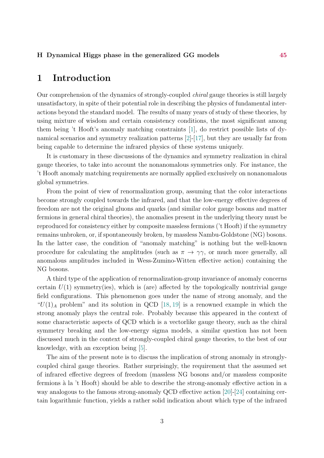#### H Dynamical Higgs phase in the generalized GG models [45](#page-44-0)

#### <span id="page-2-0"></span>1 Introduction

Our comprehension of the dynamics of strongly-coupled chiral gauge theories is still largely unsatisfactory, in spite of their potential role in describing the physics of fundamental interactions beyond the standard model. The results of many years of study of these theories, by using mixture of wisdom and certain consistency conditions, the most significant among them being 't Hooft's anomaly matching constraints [\[1\]](#page-33-0), do restrict possible lists of dynamical scenarios and symmetry realization patterns [\[2\]](#page-34-0)-[\[17\]](#page-35-0), but they are usually far from being capable to determine the infrared physics of these systems uniquely.

It is customary in these discussions of the dynamics and symmetry realization in chiral gauge theories, to take into account the nonanomalous symmetries only. For instance, the 't Hooft anomaly matching requirements are normally applied exclusively on nonanomalous global symmetries.

From the point of view of renormalization group, assuming that the color interactions become strongly coupled towards the infrared, and that the low-energy effective degrees of freedom are not the original gluons and quarks (and similar color gauge bosons and matter fermions in general chiral theories), the anomalies present in the underlying theory must be reproduced for consistency either by composite massless fermions ('t Hooft) if the symmetry remains unbroken, or, if spontaneously broken, by massless Nambu-Goldstone (NG) bosons. In the latter case, the condition of "anomaly matching" is nothing but the well-known procedure for calculating the amplitudes (such as  $\pi \to \gamma \gamma$ , or much more generally, all anomalous amplitudes included in Wess-Zumino-Witten effective action) containing the NG bosons.

A third type of the application of renormalization-group invariance of anomaly concerns certain  $U(1)$  symmetry(ies), which is (are) affected by the topologically nontrivial gauge field configurations. This phenomenon goes under the name of strong anomaly, and the " $U(1)_A$  problem" and its solution in QCD [\[18,](#page-35-1) [19\]](#page-35-2) is a renowned example in which the strong anomaly plays the central role. Probably because this appeared in the context of some characteristic aspects of QCD which is a vectorlike gauge theory, such as the chiral symmetry breaking and the low-energy sigma models, a similar question has not been discussed much in the context of strongly-coupled chiral gauge theories, to the best of our knowledge, with an exception being [\[5\]](#page-34-1).

The aim of the present note is to discuss the implication of strong anomaly in stronglycoupled chiral gauge theories. Rather surprisingly, the requirement that the assumed set of infrared effective degrees of freedom (massless NG bosons and/or massless composite fermions à la 't Hooft) should be able to describe the strong-anomaly effective action in a way analogous to the famous strong-anomaly QCD effective action [\[20\]](#page-35-3)-[\[24\]](#page-35-4) containing certain logarithmic function, yields a rather solid indication about which type of the infrared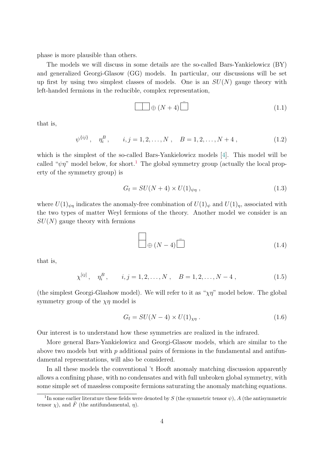phase is more plausible than others.

The models we will discuss in some details are the so-called Bars-Yankielowicz (BY) and generalized Georgi-Glasow (GG) models. In particular, our discussions will be set up first by using two simplest classes of models. One is an  $SU(N)$  gauge theory with left-handed fermions in the reducible, complex representation,

$$
\Box \quad \oplus (N+4) \stackrel{\frown}{\Box} \tag{1.1}
$$

that is,

 $\psi^{\{ij\}}, \quad \eta_i^B, \qquad i, j = 1, 2, \dots, N \;, \quad B = 1, 2, \dots, N + 4 \;,$ (1.2)

which is the simplest of the so-called Bars-Yankielowicz models [\[4\]](#page-34-2). This model will be called " $\psi \eta$ " model below, for short.<sup>[1](#page-0-0)</sup> The global symmetry group (actually the local property of the symmetry group) is

$$
G_{\rm f} = SU(N+4) \times U(1)_{\psi\eta} , \qquad (1.3)
$$

where  $U(1)_{\psi\eta}$  indicates the anomaly-free combination of  $U(1)_{\psi}$  and  $U(1)_{\eta}$ , associated with the two types of matter Weyl fermions of the theory. Another model we consider is an  $SU(N)$  gauge theory with fermions

$$
\Box \bigoplus (N-4) \Box \tag{1.4}
$$

that is,

$$
\chi^{[ij]}
$$
,  $\eta_i^B$ ,  $i, j = 1, 2, ..., N$ ,  $B = 1, 2, ..., N - 4$ , (1.5)

(the simplest Georgi-Glashow model). We will refer to it as " $\chi \eta$ " model below. The global symmetry group of the  $\chi\eta$  model is

$$
G_{\rm f} = SU(N-4) \times U(1)_{\chi\eta} \,. \tag{1.6}
$$

Our interest is to understand how these symmetries are realized in the infrared.

More general Bars-Yankielowicz and Georgi-Glasow models, which are similar to the above two models but with  $p$  additional pairs of fermions in the fundamental and antifundamental representations, will also be considered.

In all these models the conventional 't Hooft anomaly matching discussion apparently allows a confining phase, with no condensates and with full unbroken global symmetry, with some simple set of massless composite fermions saturating the anomaly matching equations.

<sup>&</sup>lt;sup>1</sup>In some earlier literature these fields were denoted by S (the symmetric tensor  $\psi$ ), A (the antisymmetric tensor  $\chi$ ), and  $\overline{F}$  (the antifundamental,  $\eta$ ).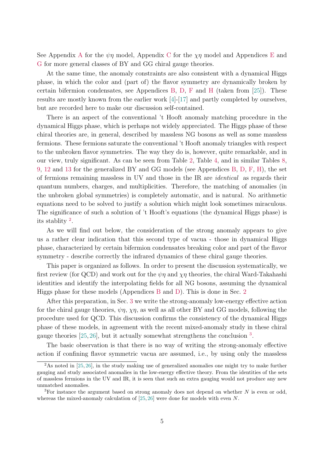See [A](#page-36-0)ppendix A for the  $\psi\eta$  model, Appendix [C](#page-37-1) for the  $\chi\eta$  model and Appendices [E](#page-39-0) and [G](#page-43-0) for more general classes of BY and GG chiral gauge theories.

At the same time, the anomaly constraints are also consistent with a dynamical Higgs phase, in which the color and (part of) the flavor symmetry are dynamically broken by certain bifermion condensates, see Appendices [B,](#page-37-0) [D,](#page-38-0) [F](#page-41-0) and [H](#page-44-0) (taken from [\[25\]](#page-35-5)). These results are mostly known from the earlier work [\[4\]](#page-34-2)-[\[17\]](#page-35-0) and partly completed by ourselves, but are recorded here to make our discussion self-contained.

There is an aspect of the conventional 't Hooft anomaly matching procedure in the dynamical Higgs phase, which is perhaps not widely appreciated. The Higgs phase of these chiral theories are, in general, described by massless NG bosons as well as some massless fermions. These fermions saturate the conventional 't Hooft anomaly triangles with respect to the unbroken flavor symmetries. The way they do is, however, quite remarkable, and in our view, truly significant. As can be seen from Table [2,](#page-38-1) Table [4,](#page-39-1) and in similar Tables [8,](#page-42-0) [9,](#page-42-1) [12](#page-45-0) and [13](#page-45-1) for the generalized BY and GG models (see Appendices [B,](#page-37-0) [D,](#page-38-0) [F,](#page-41-0) [H\)](#page-44-0), the set of fermions remaining massless in UV and those in the IR are identical as regards their quantum numbers, charges, and multiplicities. Therefore, the matching of anomalies (in the unbroken global symmetries) is completely automatic, and is natural. No arithmetic equations need to be solved to justify a solution which might look sometimes miraculous. The significance of such a solution of 't Hooft's equations (the dynamical Higgs phase) is its stablity [2](#page-0-0) .

As we will find out below, the consideration of the strong anomaly appears to give us a rather clear indication that this second type of vacua - those in dynamical Higgs phase, characterized by certain bifermion condensates breaking color and part of the flavor symmetry - describe correctly the infrared dynamics of these chiral gauge theories.

This paper is organized as follows. In order to present the discussion systematically, we first review (for QCD) and work out for the  $\psi\eta$  and  $\chi\eta$  theories, the chiral Ward-Takahashi identities and identify the interpolating fields for all NG bosons, assuming the dynamical Higgs phase for these models (Appendices [B](#page-37-0) and [D\)](#page-38-0). This is done in Sec. [2](#page-5-0)

After this preparation, in Sec. [3](#page-13-0) we write the strong-anomaly low-energy effective action for the chiral gauge theories,  $\psi \eta$ ,  $\chi \eta$ , as well as all other BY and GG models, following the procedure used for QCD. This discussion confirms the consistency of the dynamical Higgs phase of these models, in agreement with the recent mixed-anomaly study in these chiral gauge theories  $[25, 26]$  $[25, 26]$  $[25, 26]$ , but it actually somewhat strengthens the conclusion  $^3$  $^3$ .

The basic observation is that there is no way of writing the strong-anomaly effective action if confining flavor symmetric vacua are assumed, i.e., by using only the massless

<sup>&</sup>lt;sup>2</sup>As noted in [\[25,](#page-35-5) [26\]](#page-35-6), in the study making use of generalized anomalies one might try to make further gauging and study associated anomalies in the low-energy effective theory. From the identities of the sets of massless fermions in the UV and IR, it is seen that such an extra gauging would not produce any new unmatched anomalies.

<sup>&</sup>lt;sup>3</sup>For instance the argument based on strong anomaly does not depend on whether  $N$  is even or odd, whereas the mixed-anomaly calculation of  $[25, 26]$  $[25, 26]$  $[25, 26]$  were done for models with even N.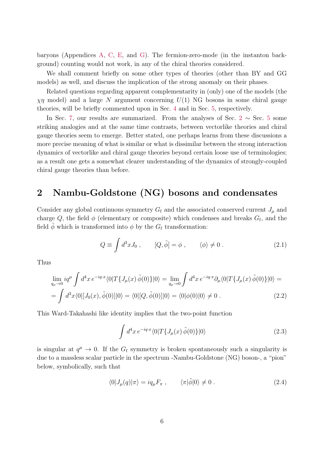baryons (Appendices [A,](#page-36-0) [C,](#page-37-1) [E,](#page-39-0) and [G\)](#page-43-0). The fermion-zero-mode (in the instanton background) counting would not work, in any of the chiral theories considered.

We shall comment briefly on some other types of theories (other than BY and GG models) as well, and discuss the implication of the strong anomaly on their phases.

Related questions regarding apparent complementarity in (only) one of the models (the  $\chi\eta$  model) and a large N argument concerning  $U(1)$  NG bosons in some chiral gauge theories, will be briefly commented upon in Sec. [4](#page-25-0) and in Sec. [5,](#page-26-0) respectively.

In Sec. [7,](#page-31-0) our results are summarized. From the analyses of Sec. [2](#page-5-0)  $\sim$  Sec. [5](#page-26-0) some striking analogies and at the same time contrasts, between vectorlike theories and chiral gauge theories seem to emerge. Better stated, one perhaps learns from these discussions a more precise meaning of what is similar or what is dissimilar between the strong interaction dynamics of vectorlike and chiral gauge theories beyond certain loose use of terminologies; as a result one gets a somewhat clearer understanding of the dynamics of strongly-coupled chiral gauge theories than before.

### <span id="page-5-0"></span>2 Nambu-Goldstone (NG) bosons and condensates

Consider any global continuous symmetry  $G_f$  and the associated conserved current  $J_\mu$  and charge Q, the field  $\phi$  (elementary or composite) which condenses and breaks  $G_f$ , and the field  $\phi$  which is transformed into  $\phi$  by the  $G_f$  transformation:

$$
Q \equiv \int d^3x J_0 , \qquad [Q, \tilde{\phi}] = \phi , \qquad \langle \phi \rangle \neq 0 . \tag{2.1}
$$

Thus

$$
\lim_{q_{\mu}\to 0} iq^{\mu} \int d^{4}x \, e^{-iq \cdot x} \langle 0|T\{J_{\mu}(x) \tilde{\phi}(0)\}|0\rangle = \lim_{q_{\mu}\to 0} \int d^{4}x \, e^{-iq \cdot x} \partial_{\mu} \langle 0|T\{J_{\mu}(x) \tilde{\phi}(0)\}|0\rangle =
$$
\n
$$
= \int d^{3}x \langle 0|[J_{0}(x), \tilde{\phi}(0)]|0\rangle = \langle 0|[Q, \tilde{\phi}(0)]|0\rangle = \langle 0|\phi(0)|0\rangle \neq 0.
$$
\n(2.2)

This Ward-Takahashi like identity implies that the two-point function

<span id="page-5-1"></span>
$$
\int d^4x \, e^{-iq \cdot x} \langle 0|T\{J_\mu(x) \tilde{\phi}(0)\}|0\rangle \tag{2.3}
$$

is singular at  $q^{\mu} \to 0$ . If the  $G_f$  symmetry is broken spontaneously such a singularity is due to a massless scalar particle in the spectrum -Nambu-Goldstone (NG) boson-, a "pion" below, symbolically, such that

$$
\langle 0|J_{\mu}(q)|\pi\rangle = iq_{\mu}F_{\pi} , \qquad \langle \pi|\tilde{\phi}|0\rangle \neq 0 . \qquad (2.4)
$$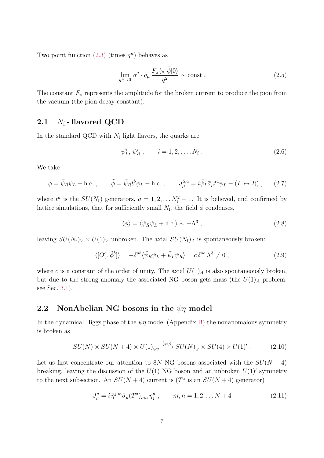Two point function  $(2.3)$  (times  $q^{\mu}$ ) behaves as

$$
\lim_{q^{\mu}\to 0} q^{\mu} \cdot q_{\mu} \frac{F_{\pi} \langle \pi | \tilde{\phi} | 0 \rangle}{q^2} \sim \text{const} . \tag{2.5}
$$

The constant  $F_{\pi}$  represents the amplitude for the broken current to produce the pion from the vacuum (the pion decay constant).

#### <span id="page-6-0"></span>2.1  $N_f$ -flavored QCD

In the standard QCD with  $N_f$  light flavors, the quarks are

$$
\psi_L^i, \psi_R^i, \qquad i = 1, 2, \dots, N_f. \tag{2.6}
$$

We take

$$
\phi = \bar{\psi}_R \psi_L + \text{h.c.} \,, \qquad \tilde{\phi} = \bar{\psi}_R t^b \psi_L - \text{h.c.} \,; \qquad J_{\mu}^{5,a} = i \bar{\psi}_L \bar{\sigma}_{\mu} t^a \psi_L - (L \leftrightarrow R) \,, \qquad (2.7)
$$

where  $t^a$  is the  $SU(N_f)$  generators,  $a = 1, 2, \ldots N_f^2 - 1$ . It is believed, and confirmed by lattice simulations, that for sufficiently small  $N_f$ , the field  $\phi$  condenses,

$$
\langle \phi \rangle = \langle \bar{\psi}_R \psi_L + \text{h.c.} \rangle \sim -\Lambda^3 \,, \tag{2.8}
$$

leaving  $SU(N_f)_V \times U(1)_V$  unbroken. The axial  $SU(N_f)_A$  is spontaneously broken:

<span id="page-6-3"></span>
$$
\langle [Q_5^a, \tilde{\phi}^b] \rangle = -\delta^{ab} \langle \bar{\psi}_R \psi_L + \bar{\psi}_L \psi_R \rangle = c \,\delta^{ab} \,\Lambda^3 \neq 0 \,, \tag{2.9}
$$

where c is a constant of the order of unity. The axial  $U(1)_A$  is also spontaneously broken, but due to the strong anomaly the associated NG boson gets mass (the  $U(1)_A$  problem: see Sec. [3.1\)](#page-13-1).

#### <span id="page-6-1"></span>2.2 NonAbelian NG bosons in the  $\psi$ <sub>n</sub> model

In the dynamical Higgs phase of the  $\psi\eta$  model (Appendix [B\)](#page-37-0) the nonanomalous symmetry is broken as

<span id="page-6-2"></span>
$$
SU(N) \times SU(N+4) \times U(1)_{\psi\eta} \xrightarrow{\langle \psi\eta \rangle} SU(N)_{\text{cf}} \times SU(4) \times U(1)' \,. \tag{2.10}
$$

Let us first concentrate our attention to 8N NG bosons associated with the  $SU(N + 4)$ breaking, leaving the discussion of the  $U(1)$  NG boson and an unbroken  $U(1)$ ' symmetry to the next subsection. An  $SU(N+4)$  current is  $(T^a)$  is an  $SU(N+4)$  generator)

$$
J_{\mu}^{a} = i \,\bar{\eta}^{j,m} \bar{\sigma}_{\mu}(T^{a})_{mn} \eta_{j}^{n} , \qquad m, n = 1, 2, \dots N + 4
$$
 (2.11)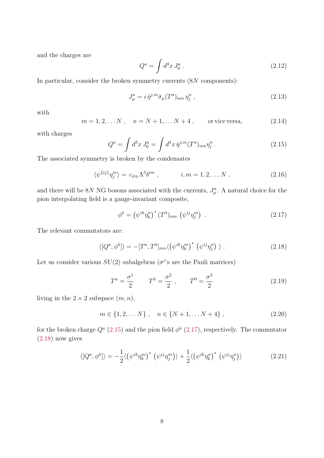and the charges are

$$
Q^a = \int d^3x J_0^a \,. \tag{2.12}
$$

In particular, consider the broken symmetry currents  $(8N$  components):

$$
J^a_\mu = i \,\bar{\eta}^{j,m} \bar{\sigma}_\mu(T^a)_{mn} \eta^n_j \,,\tag{2.13}
$$

with

$$
m = 1, 2, ..., N
$$
,  $n = N + 1, ... N + 4$ , or vice versa, (2.14)

with charges

<span id="page-7-0"></span>
$$
Q^{a} = \int d^{3}x J_{0}^{a} = \int d^{3}x \,\bar{\eta}^{j,m} (T^{a})_{mn} \eta_{j}^{n} \,. \tag{2.15}
$$

The associated symmetry is broken by the condensates

<span id="page-7-3"></span>
$$
\langle \psi^{\{ij\}} \eta_j^m \rangle = c_{\psi \eta} \Lambda^3 \delta^{im} , \qquad i, m = 1, 2, \dots N , \qquad (2.16)
$$

and there will be 8N NG bosons associated with the currents,  $J^a_\mu$ . A natural choice for the pion interpolating field is a gauge-invariant composite,

<span id="page-7-1"></span>
$$
\phi^{\tilde{a}} = \left(\psi^{ik}\eta_k^n\right)^*(T^{\tilde{a}})_{nm}\left(\psi^{ij}\eta_j^m\right) \tag{2.17}
$$

The relevant commutators are:

<span id="page-7-2"></span>
$$
\langle [Q^a, \phi^{\tilde{a}}] \rangle = -[T^a, T^{\tilde{a}}]_{mn} \langle (\psi^{ik} \eta_k^m)^* (\psi^{ij} \eta_j^n) \rangle . \tag{2.18}
$$

Let us consider various  $SU(2)$  subalgebras ( $\sigma^{i}$ 's are the Pauli matrices)

<span id="page-7-4"></span>
$$
T^{a} = \frac{\sigma^{1}}{2} \qquad T^{\tilde{a}} = \frac{\sigma^{2}}{2} , \qquad T^{0} = \frac{\sigma^{3}}{2}
$$
 (2.19)

living in the  $2 \times 2$  subspace  $(m, n)$ ,

$$
m \in \{1, 2, \dots N\} , \quad n \in \{N+1, \dots N+4\} , \tag{2.20}
$$

for the broken charge  $Q^a$  [\(2.15\)](#page-7-0) and the pion field  $\phi^{\tilde{a}}$  [\(2.17\)](#page-7-1), respectively. The commutator [\(2.18\)](#page-7-2) now gives

$$
\langle [Q^a, \phi^{\tilde{a}}] \rangle = -\frac{1}{2} \langle (\psi^{ik} \eta_k^m)^* (\psi^{ij} \eta_j^m) \rangle + \frac{1}{2} \langle (\psi^{ik} \eta_k^n)^* (\psi^{ij} \eta_j^n) \rangle \tag{2.21}
$$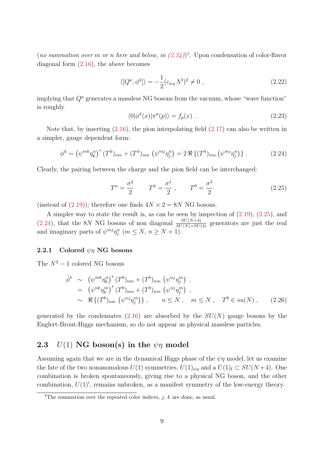(no summation over m or n here and below, in  $(2.24)$ <sup>[4](#page-0-0)</sup>. Upon condensation of color-flavor diagonal form [\(2.16\)](#page-7-3), the above becomes

$$
\langle [Q^a, \phi^{\tilde{a}}] \rangle = -\frac{1}{2} (c_{\psi \eta} \Lambda^3)^2 \neq 0 , \qquad (2.22)
$$

implying that  $Q<sup>a</sup>$  generates a massless NG bosons from the vacuum, whose "wave function" is roughly

$$
\langle 0|\phi^{\tilde{a}}(x)|\pi^{a}(p)\rangle = f_{p}(x) . \qquad (2.23)
$$

Note that, by inserting [\(2.16\)](#page-7-3), the pion interpolating field [\(2.17\)](#page-7-1) can also be written in a simpler, gauge dependent form:

<span id="page-8-2"></span>
$$
\phi^{\tilde{a}} \sim \left(\psi^{mk}\eta_k^n\right)^* (T^{\tilde{a}})_{nm} + (T^{\tilde{a}})_{mn} \left(\psi^{mj}\eta_j^n\right) = 2 \Re \left\{ (T^{\tilde{a}})_{mn} \left(\psi^{mj}\eta_j^n\right)\right\}.
$$
 (2.24)

Clearly, the pairing between the charge and the pion field can be interchanged:

<span id="page-8-3"></span>
$$
T^{a} = \frac{\sigma^{2}}{2} \qquad T^{\tilde{a}} = \frac{\sigma^{1}}{2} , \qquad T^{0} = \frac{\sigma^{3}}{2}
$$
 (2.25)

(instead of [\(2.19\)](#page-7-4)); therefore one finds  $4N \times 2 = 8N$  NG bosons.

A simpler way to state the result is, as can be seen by inspection of [\(2.19\)](#page-7-4), [\(2.25\)](#page-8-3), and  $(2.24)$ , that the 8N NG bosons of non diagonal  $\frac{SU(N+4)}{SU(N)\times SU(4)}$  generators are just the real and imaginary parts of  $\psi^{mj}\eta_j^n$   $(m \le N, n \ge N+1)$ .

#### <span id="page-8-0"></span>2.2.1 Colored  $\not\psi$  NG bosons

The  $N^2-1$  colored NG bosons

$$
\tilde{\phi}^{b} \sim (\psi^{mk} \eta_{k}^{n})^{*} (T^{b})_{nm} + (T^{b})_{nm} (\psi^{nj} \eta_{j}^{m}) ,\n= (\psi^{nk} \eta_{k}^{m})^{*} (T^{b})_{mn} + (T^{b})_{nm} (\psi^{nj} \eta_{j}^{m}) ,\n\sim \Re \{(T^{b})_{nm} (\psi^{nj} \eta_{j}^{m}) \}, \qquad n \le N , \quad m \le N , \quad T^{b} \in su(N) , \qquad (2.26)
$$

generated by the condensates [\(2.16\)](#page-7-3) are absorbed by the  $SU(N)$  gauge bosons by the Englert-Brout-Higgs mechanism, so do not appear as physical massless particles.

#### <span id="page-8-1"></span>2.3  $U(1)$  NG boson(s) in the  $\psi\eta$  model

Assuming again that we are in the dynamical Higgs phase of the  $\psi\eta$  model, let us examine the fate of the two nonanomalous  $U(1)$  symmetries,  $U(1)_{\psi\eta}$  and a  $U(1)_{f} \subset SU(N+4)$ . One combination is broken spontaneously, giving rise to a physical NG boson, and the other combination,  $U(1)$ , remains unbroken, as a manifest symmetry of the low-energy theory.

<sup>&</sup>lt;sup>4</sup>The summation over the repeated color indices, j, k are done, as usual.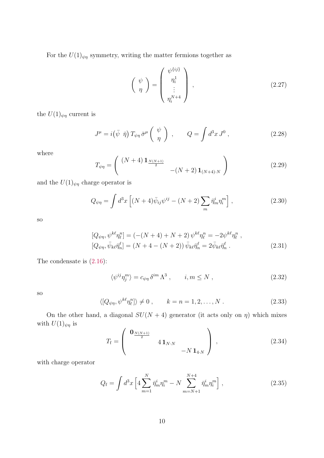For the  $U(1)_{\psi\eta}$  symmetry, writing the matter fermions together as

$$
\left(\begin{array}{c}\n\psi \\
\eta\n\end{array}\right) = \left(\begin{array}{c}\n\eta_i^1 \\
\eta_i^1 \\
\vdots \\
\eta_i^{N+4}\n\end{array}\right),
$$
\n(2.27)

the  $U(1)_{\psi\eta}$  current is

$$
J^{\mu} = i(\bar{\psi} \ \bar{\eta}) T_{\psi\eta} \bar{\sigma}^{\mu} \left( \begin{array}{c} \psi \\ \eta \end{array} \right) , \qquad Q = \int d^{3}x J^{0} , \qquad (2.28)
$$

where

$$
T_{\psi\eta} = \begin{pmatrix} (N+4) \mathbf{1}_{\frac{N(N+1)}{2}} & - (N+2) \mathbf{1}_{(N+4)\cdot N} \end{pmatrix}
$$
 (2.29)

and the  $U(1)_{\psi\eta}$  charge operator is

$$
Q_{\psi\eta} = \int d^3x \left[ (N+4)\bar{\psi}_{ij}\psi^{ij} - (N+2)\sum_m \bar{\eta}_m^i \eta_i^m \right],\tag{2.30}
$$

so

<span id="page-9-1"></span>
$$
[Q_{\psi\eta}, \psi^{k\ell}\eta_{\ell}^{n}] = (-(N+4) + N + 2) \psi^{k\ell}\eta_{\ell}^{n} = -2\psi^{k\ell}\eta_{\ell}^{n} ,[Q_{\psi\eta}, \bar{\psi}_{k\ell}\bar{\eta}_{n}^{\ell}] = (N+4 - (N+2)) \bar{\psi}_{k\ell}\bar{\eta}_{n}^{\ell} = 2\bar{\psi}_{k\ell}\bar{\eta}_{n}^{\ell} .
$$
 (2.31)

The condensate is [\(2.16\)](#page-7-3):

<span id="page-9-0"></span>
$$
\langle \psi^{ij} \eta_j^m \rangle = c_{\psi \eta} \, \delta^{im} \, \Lambda^3 \;, \qquad i, m \le N \;, \tag{2.32}
$$

so

$$
\langle [Q_{\psi\eta}, \psi^{k\ell}\eta_\ell^n] \rangle \neq 0 , \qquad k = n = 1, 2, \dots, N . \tag{2.33}
$$

On the other hand, a diagonal  $SU(N + 4)$  generator (it acts only on  $\eta$ ) which mixes with  $U(1)_{\psi\eta}$  is

$$
T_{\rm f} = \left( \begin{array}{cc} \mathbf{0}_{\frac{N(N+1)}{2}} & & \\ & 4\,\mathbf{1}_{N\cdot N} & \\ & & -N\,\mathbf{1}_{4\cdot N} \end{array} \right) \,,\tag{2.34}
$$

with charge operator

$$
Q_{\rm f} = \int d^3x \left[ 4 \sum_{m=1}^{N} \bar{\eta}_m^i \eta_i^m - N \sum_{m=N+1}^{N+4} \bar{\eta}_m^i \eta_i^m \right], \qquad (2.35)
$$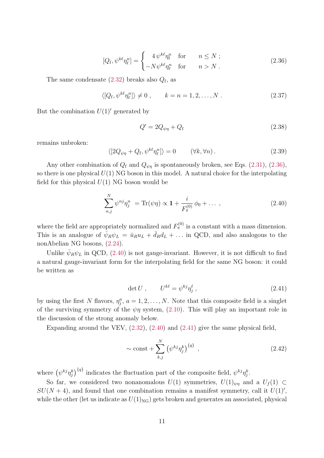<span id="page-10-0"></span>
$$
[Q_{\mathbf{f}}, \psi^{k\ell} \eta_{\ell}^{n}] = \begin{cases} 4 \psi^{k\ell} \eta_{\ell}^{n} & \text{for} \qquad n \leq N ;\\ -N \psi^{k\ell} \eta_{\ell}^{n} & \text{for} \qquad n > N . \end{cases}
$$
 (2.36)

The same condensate  $(2.32)$  breaks also  $Q_{\rm f}$ , as

$$
\langle [Q_{\rm f}, \psi^{k\ell} \eta_{\ell}^n] \rangle \neq 0 , \qquad k = n = 1, 2, \dots, N . \qquad (2.37)
$$

But the combination  $U(1)'$  generated by

$$
Q' = 2Q_{\psi\eta} + Q_f \tag{2.38}
$$

remains unbroken:

$$
\langle [2Q_{\psi\eta} + Q_{\text{f}}, \psi^{k\ell} \eta_{\ell}^n] \rangle = 0 \qquad (\forall k, \forall n). \qquad (2.39)
$$

Any other combination of  $Q_f$  and  $Q_{\psi\eta}$  is spontaneously broken, see Eqs. [\(2.31\)](#page-9-1), [\(2.36\)](#page-10-0), so there is one physical  $U(1)$  NG boson in this model. A natural choice for the interpolating field for this physical  $U(1)$  NG boson would be

<span id="page-10-1"></span>
$$
\sum_{n,j}^{N} \psi^{nj} \eta_j^n = \text{Tr}(\psi \eta) \propto \mathbf{1} + \frac{i}{F_{\pi}^{(0)}} \phi_0 + \dots \,, \tag{2.40}
$$

where the field are appropriately normalized and  $F_{\pi}^{(0)}$  is a constant with a mass dimension. This is an analogue of  $\bar{\psi}_R \psi_L = \bar{u}_R u_L + \bar{d}_R d_L + \dots$  in QCD, and also analogous to the nonAbelian NG bosons, [\(2.24\)](#page-8-2).

Unlike  $\bar{\psi}_R \psi_L$  in QCD, [\(2.40\)](#page-10-1) is not gauge-invariant. However, it is not difficult to find a natural gauge-invariant form for the interpolating field for the same NG boson: it could be written as

<span id="page-10-2"></span>
$$
\det U, \qquad U^{k\ell} = \psi^{kj} \eta_j^{\ell} \,, \tag{2.41}
$$

by using the first N flavors,  $\eta_j^a$ ,  $a = 1, 2, ..., N$ . Note that this composite field is a singlet of the surviving symmetry of the  $\psi\eta$  system, [\(2.10\)](#page-6-2). This will play an important role in the discussion of the strong anomaly below.

Expanding around the VEV,  $(2.32)$ ,  $(2.40)$  and  $(2.41)$  give the same physical field,

$$
\sim \text{const} + \sum_{k,j}^{N} \left( \psi^{kj} \eta_j^k \right)^{\{q\}}, \tag{2.42}
$$

where  $(\psi^{kj}\eta_j^k)^{\{q\}}$  indicates the fluctuation part of the composite field,  $\psi^{kj}\eta_j^k$ .

So far, we considered two nonanomalous  $U(1)$  symmetries,  $U(1)_{\psi\eta}$  and a  $U_f(1) \subset$  $SU(N + 4)$ , and found that one combination remains a manifest symmetry, call it  $U(1)$ ', while the other (let us indicate as  $U(1)_{\text{NG}}$ ) gets broken and generates an associated, physical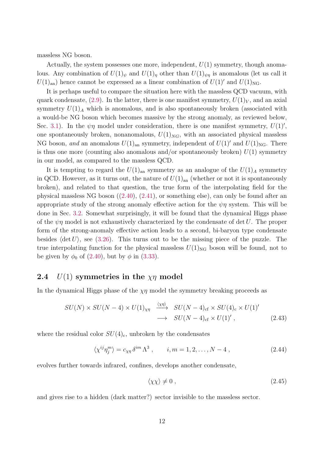massless NG boson.

Actually, the system possesses one more, independent,  $U(1)$  symmetry, though anomalous. Any combination of  $U(1)_{\psi}$  and  $U(1)_{\eta}$  other than  $U(1)_{\psi\eta}$  is anomalous (let us call it  $U(1)_{\text{an}}$  hence cannot be expressed as a linear combination of  $U(1)'$  and  $U(1)_{\text{NG}}$ .

It is perhaps useful to compare the situation here with the massless QCD vacuum, with quark condensate, [\(2.9\)](#page-6-3). In the latter, there is one manifest symmetry,  $U(1)<sub>V</sub>$ , and an axial symmetry  $U(1)_A$  which is anomalous, and is also spontaneously broken (associated with a would-be NG boson which becomes massive by the strong anomaly, as reviewed below, Sec. [3.1\)](#page-13-1). In the  $\psi\eta$  model under consideration, there is one manifest symmetry,  $U(1)$ ', one spontaneously broken, nonanomalous,  $U(1)_{NG}$ , with an associated physical massless NG boson, and an anomalous  $U(1)_{\text{an}}$  symmetry, independent of  $U(1)'$  and  $U(1)_{\text{NG}}$ . There is thus one more (counting also anomalous and/or spontaneously broken)  $U(1)$  symmetry in our model, as compared to the massless QCD.

It is tempting to regard the  $U(1)_{\text{an}}$  symmetry as an analogue of the  $U(1)_A$  symmetry in QCD. However, as it turns out, the nature of  $U(1)_{an}$  (whether or not it is spontaneously broken), and related to that question, the true form of the interpolating field for the physical massless NG boson ([\(2.40\)](#page-10-1), [\(2.41\)](#page-10-2), or something else), can only be found after an appropriate study of the strong anomaly effective action for the  $\psi \eta$  system. This will be done in Sec. [3.2.](#page-15-1) Somewhat surprisingly, it will be found that the dynamical Higgs phase of the  $\psi\eta$  model is not exhaustively characterized by the condensate of det U. The proper form of the strong-anomaly effective action leads to a second, bi-baryon type condensate besides  $\langle \det U \rangle$ , see [\(3.26\)](#page-17-0). This turns out to be the missing piece of the puzzle. The true interpolating function for the physical massless  $U(1)_{\text{NG}}$  boson will be found, not to be given by  $\phi_0$  of [\(2.40\)](#page-10-1), but by  $\phi$  in [\(3.33\)](#page-18-0).

#### <span id="page-11-0"></span>2.4  $U(1)$  symmetries in the  $\chi\eta$  model

In the dynamical Higgs phase of the  $\chi\eta$  model the symmetry breaking proceeds as

<span id="page-11-2"></span>
$$
SU(N) \times SU(N-4) \times U(1)_{\chi\eta} \xrightarrow{\langle \chi\eta \rangle} SU(N-4)_{\text{cf}} \times SU(4)_{\text{c}} \times U(1)'
$$
  

$$
\longrightarrow SU(N-4)_{\text{cf}} \times U(1)', \qquad (2.43)
$$

where the residual color  $SU(4)_{c}$ , unbroken by the condensates

<span id="page-11-1"></span>
$$
\langle \chi^{ij} \eta_j^m \rangle = c_{\chi\eta} \, \delta^{im} \, \Lambda^3 \;, \qquad i, m = 1, 2, \dots, N - 4 \;, \tag{2.44}
$$

evolves further towards infrared, confines, develops another condensate,

$$
\langle \chi \chi \rangle \neq 0 \tag{2.45}
$$

and gives rise to a hidden (dark matter?) sector invisible to the massless sector.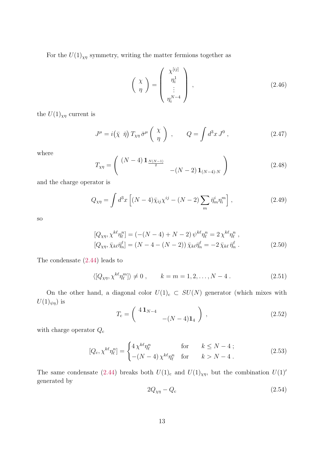For the  $U(1)_{\chi\eta}$  symmetry, writing the matter fermions together as

$$
\left(\begin{array}{c}\n\chi \\
\eta\n\end{array}\right) = \left(\begin{array}{c}\n\chi^{[ij]} \\
\eta_i^1 \\
\vdots \\
\eta_i^{N-4}\n\end{array}\right),
$$
\n(2.46)

the  $U(1)_{\chi\eta}$  current is

$$
J^{\mu} = i(\bar{\chi} \ \bar{\eta}) T_{\chi\eta} \bar{\sigma}^{\mu} \left( \begin{array}{c} \chi \\ \eta \end{array} \right) , \qquad Q = \int d^{3}x J^{0} , \qquad (2.47)
$$

where

$$
T_{\chi\eta} = \begin{pmatrix} (N-4) \mathbf{1}_{\frac{N(N-1)}{2}} & - (N-2) \mathbf{1}_{(N-4)\cdot N} \end{pmatrix}
$$
 (2.48)

and the charge operator is

$$
Q_{\chi\eta} = \int d^3x \left[ (N-4)\bar{\chi}_{ij}\chi^{ij} - (N-2)\sum_m \bar{\eta}_m^i \eta_i^m \right],\tag{2.49}
$$

so

$$
[Q_{\chi\eta}, \chi^{k\ell}\eta_{\ell}^{n}] = (-(N-4) + N - 2) \psi^{k\ell}\eta_{\ell}^{n} = 2 \chi^{k\ell}\eta_{\ell}^{n} ,[Q_{\chi\eta}, \bar{\chi}_{k\ell}\bar{\eta}_{n}^{\ell}] = (N - 4 - (N - 2)) \bar{\chi}_{k\ell}\bar{\eta}_{n}^{\ell} = -2 \bar{\chi}_{k\ell}\bar{\eta}_{n}^{\ell} .
$$
 (2.50)

The condensate [\(2.44\)](#page-11-1) leads to

$$
\langle [Q_{\chi\eta}, \chi^{k\ell} \eta_{\ell}^{m}] \rangle \neq 0
$$
,  $k = m = 1, 2, ..., N - 4$ . (2.51)

On the other hand, a diagonal color  $U(1)_c \subset SU(N)$  generator (which mixes with  $U(1)_{\psi\eta}$ ) is

$$
T_{\rm c} = \begin{pmatrix} 4\,\mathbf{1}_{N-4} & & \\ & -(N-4)\mathbf{1}_4 \end{pmatrix} , \qquad (2.52)
$$

with charge operator  $Q_{\rm c}$ 

$$
[Q_c, \chi^{k\ell} \eta_\ell^n] = \begin{cases} 4 \chi^{k\ell} \eta_\ell^n & \text{for} \qquad k \le N - 4; \\ -(N - 4) \chi^{k\ell} \eta_\ell^n & \text{for} \qquad k > N - 4. \end{cases}
$$
 (2.53)

The same condensate [\(2.44\)](#page-11-1) breaks both  $U(1)$ <sub>c</sub> and  $U(1)_{\chi\eta}$ , but the combination  $U(1)'$ generated by

$$
2Q_{\chi\eta} - Q_c \tag{2.54}
$$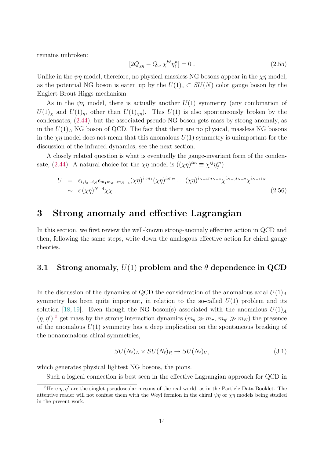remains unbroken:

$$
[2Q_{\chi\eta} - Q_c, \chi^{k\ell} \eta_\ell^n] = 0.
$$
\n(2.55)

Unlike in the  $\psi\eta$  model, therefore, no physical massless NG bosons appear in the  $\chi\eta$  model, as the potential NG boson is eaten up by the  $U(1)_{c} \subset SU(N)$  color gauge boson by the Englert-Brout-Higgs mechanism.

As in the  $\psi\eta$  model, there is actually another  $U(1)$  symmetry (any combination of  $U(1)_\chi$  and  $U(1)_\eta$ , other than  $U(1)_{\chi\eta}$ . This  $U(1)$  is also spontaneously broken by the condensates, [\(2.44\)](#page-11-1), but the associated pseudo-NG boson gets mass by strong anomaly, as in the  $U(1)_A$  NG boson of QCD. The fact that there are no physical, massless NG bosons in the  $\chi\eta$  model does not mean that this anomalous  $U(1)$  symmetry is unimportant for the discussion of the infrared dynamics, see the next section.

A closely related question is what is eventually the gauge-invariant form of the conden-sate, [\(2.44\)](#page-11-1). A natural choice for the  $\chi\eta$  model is  $((\chi\eta)^{im} \equiv \chi^{ij}\eta_j^m)$ 

<span id="page-13-2"></span>
$$
U = \epsilon_{i_1 i_2 \dots i_N} \epsilon_{m_1 m_2 \dots m_{N-4}} (\chi \eta)^{i_1 m_1} (\chi \eta)^{i_2 m_2} \dots (\chi \eta)^{i_{N-4} m_{N-4}} \chi^{i_{N-3} i_{N-2}} \chi^{i_{N-1} i_N}
$$
  
  $\sim \epsilon (\chi \eta)^{N-4} \chi \chi$ . (2.56)

### <span id="page-13-0"></span>3 Strong anomaly and effective Lagrangian

In this section, we first review the well-known strong-anomaly effective action in QCD and then, following the same steps, write down the analogous effective action for chiral gauge theories.

#### <span id="page-13-1"></span>3.1 Strong anomaly,  $U(1)$  problem and the  $\theta$  dependence in QCD

In the discussion of the dynamics of QCD the consideration of the anomalous axial  $U(1)_A$ symmetry has been quite important, in relation to the so-called  $U(1)$  problem and its solution [\[18,](#page-35-1) [19\]](#page-35-2). Even though the NG boson(s) associated with the anomalous  $U(1)<sub>A</sub>$  $(\eta, \eta')$ <sup>[5](#page-0-0)</sup> get mass by the strong interaction dynamics  $(m_{\eta} \gg m_{\pi}, m_{\eta'} \gg m_K)$  the presence of the anomalous  $U(1)$  symmetry has a deep implication on the spontaneous breaking of the nonanomalous chiral symmetries,

$$
SU(N_{\rm f})_L \times SU(N_{\rm f})_R \to SU(N_{\rm f})_V, \tag{3.1}
$$

which generates physical lightest NG bosons, the pions.

Such a logical connection is best seen in the effective Lagrangian approach for QCD in

<sup>&</sup>lt;sup>5</sup>Here  $\eta$ ,  $\eta'$  are the singlet pseudoscalar mesons of the real world, as in the Particle Data Booklet. The attentive reader will not confuse them with the Weyl fermion in the chiral  $\psi\eta$  or  $\chi\eta$  models being studied in the present work.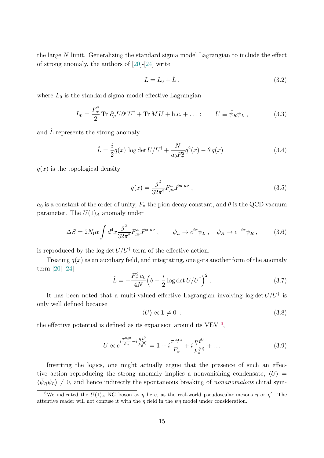the large N limit. Generalizing the standard sigma model Lagrangian to include the effect of strong anomaly, the authors of [\[20\]](#page-35-3)-[\[24\]](#page-35-4) write

$$
L = L_0 + \hat{L} \tag{3.2}
$$

where  $L_0$  is the standard sigma model effective Lagrangian

$$
L_0 = \frac{F_\pi^2}{2} \text{Tr } \partial_\mu U \partial^\mu U^\dagger + \text{Tr } M U + \text{h.c.} + \dots; \qquad U \equiv \bar{\psi}_R \psi_L , \qquad (3.3)
$$

and  $\hat{L}$  represents the strong anomaly

<span id="page-14-0"></span>
$$
\hat{L} = \frac{i}{2}q(x)\,\log\det U/U^{\dagger} + \frac{N}{a_0 F_{\pi}^2}q^2(x) - \theta\,q(x)\,,\tag{3.4}
$$

 $q(x)$  is the topological density

<span id="page-14-1"></span>
$$
q(x) = \frac{g^2}{32\pi^2} F^a_{\mu\nu} \tilde{F}^{a,\mu\nu} \,, \tag{3.5}
$$

 $a_0$  is a constant of the order of unity,  $F_{\pi}$  the pion decay constant, and  $\theta$  is the QCD vacuum parameter. The  $U(1)<sub>A</sub>$  anomaly under

$$
\Delta S = 2N_{\rm f}\alpha \int d^4x \frac{g^2}{32\pi^2} F^a_{\mu\nu} \tilde{F}^{a,\mu\nu} \,, \qquad \psi_L \to e^{i\alpha} \psi_L \,, \quad \psi_R \to e^{-i\alpha} \psi_R \,, \tag{3.6}
$$

is reproduced by the log det  $U/U^{\dagger}$  term of the effective action.

Treating  $q(x)$  as an auxiliary field, and integrating, one gets another form of the anomaly term [\[20\]](#page-35-3)-[\[24\]](#page-35-4)

$$
\hat{L} = -\frac{F_{\pi}^2 a_0}{4N} \left(\theta - \frac{i}{2} \log \det U / U^{\dagger}\right)^2.
$$
\n(3.7)

It has been noted that a multi-valued effective Lagrangian involving  $\log \det U/U^{\dagger}$  is only well defined because

$$
\langle U \rangle \propto \mathbf{1} \neq 0 \tag{3.8}
$$

the effective potential is defined as its expansion around its VEV  $<sup>6</sup>$  $<sup>6</sup>$  $<sup>6</sup>$ ,</sup>

$$
U \propto e^{i\frac{\pi^{a}t^{a}}{F_{\pi}} + i\frac{\eta t^{0}}{F_{\pi}^{(0)}}} = \mathbf{1} + i\frac{\pi^{a}t^{a}}{F_{\pi}} + i\frac{\eta t^{0}}{F_{\pi}^{(0)}} + \dots
$$
 (3.9)

Inverting the logics, one might actually argue that the presence of such an effective action reproducing the strong anomaly implies a nonvanishing condensate,  $\langle U \rangle$  =  $\langle \bar{\psi}_R \psi_L \rangle \neq 0$ , and hence indirectly the spontaneous breaking of nonanomalous chiral sym-

<sup>&</sup>lt;sup>6</sup>We indicated the  $U(1)_A$  NG boson as  $\eta$  here, as the real-world pseudoscalar mesons  $\eta$  or  $\eta'$ . The attentive reader will not confuse it with the  $\eta$  field in the  $\psi\eta$  model under consideration.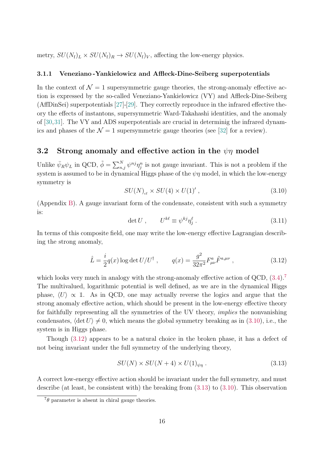metry,  $SU(N_f)_L \times SU(N_f)_R \rightarrow SU(N_f)_V$ , affecting the low-energy physics.

#### <span id="page-15-0"></span>3.1.1 Veneziano -Yankielowicz and Affleck-Dine-Seiberg superpotentials

In the context of  $\mathcal{N} = 1$  supersymmetric gauge theories, the strong-anomaly effective action is expressed by the so-called Veneziano-Yankielowicz (VY) and Affleck-Dine-Seiberg (AffDinSei) superpotentials [\[27\]](#page-35-7)-[\[29\]](#page-35-8). They correctly reproduce in the infrared effective theory the effects of instantons, supersymmetric Ward-Takahashi identities, and the anomaly of [\[30,](#page-35-9)[31\]](#page-35-10). The VY and ADS superpotentials are crucial in determinig the infrared dynamics and phases of the  $\mathcal{N} = 1$  supersymmetric gauge theories (see [\[32\]](#page-35-11) for a review).

#### <span id="page-15-1"></span>3.2 Strong anomaly and effective action in the  $\psi\eta$  model

Unlike  $\bar{\psi}_R \psi_L$  in QCD,  $\tilde{\phi} = \sum_{n,j}^N \psi^{nj} \eta_j^n$  is not gauge invariant. This is not a problem if the system is assumed to be in dynamical Higgs phase of the  $\psi\eta$  model, in which the low-energy symmetry is

<span id="page-15-2"></span>
$$
SU(N)_{\text{cf}} \times SU(4) \times U(1)^\prime ,\qquad (3.10)
$$

(Appendix [B\)](#page-37-0). A gauge invariant form of the condensate, consistent with such a symmetry is:

$$
\det U, \qquad U^{k\ell} \equiv \psi^{kj} \eta_j^{\ell}. \tag{3.11}
$$

In terms of this composite field, one may write the low-energy effective Lagrangian describing the strong anomaly,

<span id="page-15-3"></span>
$$
\hat{L} = \frac{i}{2}q(x)\log \det U/U^{\dagger} , \qquad q(x) = \frac{g^2}{32\pi^2}F^{a}_{\mu\nu}\tilde{F}^{a,\mu\nu} , \qquad (3.12)
$$

which looks very much in analogy with the strong-anomaly effective action of QCD,  $(3.4)$ .<sup>[7](#page-0-0)</sup> The multivalued, logarithmic potential is well defined, as we are in the dynamical Higgs phase,  $\langle U \rangle \propto 1$ . As in QCD, one may actually reverse the logics and argue that the strong anomaly effective action, which should be present in the low-energy effective theory for faithfully representing all the symmetries of the UV theory, implies the nonvanishing condensates,  $\langle \det U \rangle \neq 0$ , which means the global symmetry breaking as in [\(3.10\)](#page-15-2), i.e., the system is in Higgs phase.

Though [\(3.12\)](#page-15-3) appears to be a natural choice in the broken phase, it has a defect of not being invariant under the full symmetry of the underlying theory,

<span id="page-15-4"></span>
$$
SU(N) \times SU(N+4) \times U(1)_{\psi\eta} . \tag{3.13}
$$

A correct low-energy effective action should be invariant under the full symmetry, and must describe (at least, be consistent with) the breaking from [\(3.13\)](#page-15-4) to [\(3.10\)](#page-15-2). This observation

 $7\theta$  parameter is absent in chiral gauge theories.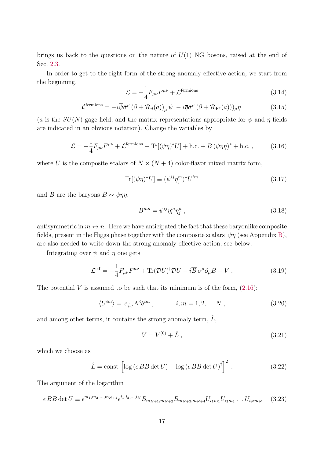brings us back to the questions on the nature of  $U(1)$  NG bosons, raised at the end of Sec. [2.3.](#page-8-1)

In order to get to the right form of the strong-anomaly effective action, we start from the beginning,

$$
\mathcal{L} = -\frac{1}{4} F_{\mu\nu} F^{\mu\nu} + \mathcal{L}^{\text{fermions}} \tag{3.14}
$$

$$
\mathcal{L}^{\text{fermions}} = -i\overline{\psi}\overline{\sigma}^{\mu} (\partial + \mathcal{R}_{\text{S}}(a))_{\mu} \psi - i\overline{\eta}\overline{\sigma}^{\mu} (\partial + \mathcal{R}_{\text{F}^*}(a)))_{\mu} \eta \qquad (3.15)
$$

(a is the  $SU(N)$  gage field, and the matrix representations appropriate for  $\psi$  and  $\eta$  fields are indicated in an obvious notation). Change the variables by

$$
\mathcal{L} = -\frac{1}{4}F_{\mu\nu}F^{\mu\nu} + \mathcal{L}^{\text{fermions}} + \text{Tr}[(\psi\eta)^*U] + \text{h.c.} + B(\psi\eta\eta)^* + \text{h.c.} ,\qquad(3.16)
$$

where U is the composite scalars of  $N \times (N + 4)$  color-flavor mixed matrix form,

$$
\text{Tr}[(\psi \eta)^* U] \equiv (\psi^{ij} \eta_j^m)^* U^{im} \tag{3.17}
$$

and B are the baryons  $B \sim \psi \eta \eta$ ,

$$
B^{mn} = \psi^{ij} \eta_i^m \eta_j^n \tag{3.18}
$$

antisymmetric in  $m \leftrightarrow n$ . Here we have anticipated the fact that these baryonlike composite fields, present in the Higgs phase together with the composite scalars  $\psi \eta$  (see Appendix [B\)](#page-37-0), are also needed to write down the strong-anomaly effective action, see below.

Integrating over  $\psi$  and  $\eta$  one gets

<span id="page-16-2"></span>
$$
\mathcal{L}^{\text{eff}} = -\frac{1}{4} F_{\mu\nu} F^{\mu\nu} + \text{Tr} (\mathcal{D} U)^{\dagger} \mathcal{D} U - i \overline{B} \,\overline{\sigma}^{\mu} \partial_{\mu} B - V \,. \tag{3.19}
$$

The potential V is assumed to be such that its minimum is of the form,  $(2.16)$ :

<span id="page-16-0"></span>
$$
\langle U^{im} \rangle = c_{\psi\eta} \Lambda^3 \delta^{im} , \qquad i, m = 1, 2, \dots N , \qquad (3.20)
$$

and among other terms, it contains the strong anomaly term,  $\hat{L}$ ,

$$
V = V^{(0)} + \hat{L} \t{,} \t(3.21)
$$

which we choose as

<span id="page-16-1"></span>
$$
\hat{L} = \text{const} \left[ \log \left( \epsilon B B \det U \right) - \log \left( \epsilon B B \det U \right)^{\dagger} \right]^2 \,. \tag{3.22}
$$

The argument of the logarithm

<span id="page-16-3"></span>
$$
\epsilon BB \det U \equiv \epsilon^{m_1, m_2, \dots, m_{N+4}} \epsilon^{i_1, i_2, \dots, i_N} B_{m_{N+1}, m_{N+2}} B_{m_{N+3}, m_{N+4}} U_{i_1 m_1} U_{i_2 m_2} \dots U_{i_N m_N}
$$
 (3.23)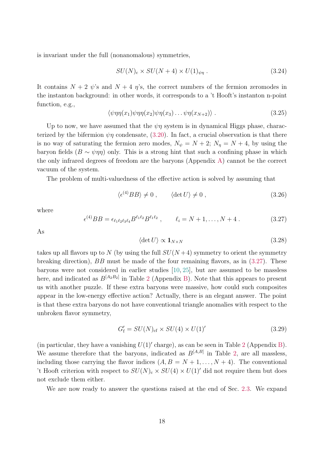is invariant under the full (nonanomalous) symmetries,

$$
SU(N)_{c} \times SU(N+4) \times U(1)_{\psi\eta} . \tag{3.24}
$$

It contains  $N + 2 \psi$ 's and  $N + 4 \eta$ 's, the correct numbers of the fermion zeromodes in the instanton background: in other words, it corresponds to a 't Hooft's instanton n-point function, e.g.,

$$
\langle \psi \eta \eta(x_1) \psi \eta \eta(x_2) \psi \eta(x_3) \dots \psi \eta(x_{N+2}) \rangle . \tag{3.25}
$$

Up to now, we have assumed that the  $\psi\eta$  system is in dynamical Higgs phase, characterized by the bifermion  $\psi\eta$  condensate, [\(3.20\)](#page-16-0). In fact, a crucial observation is that there is no way of saturating the fermion zero modes,  $N_{\psi} = N + 2$ ;  $N_{\eta} = N + 4$ , by using the baryon fields ( $B \sim \psi \eta \eta$ ) only. This is a strong hint that such a confining phase in which the only infrared degrees of freedom are the baryons (Appendix [A\)](#page-36-0) cannot be the correct vacuum of the system.

The problem of multi-valuedness of the effective action is solved by assuming that

<span id="page-17-0"></span>
$$
\langle \epsilon^{(4)}BB \rangle \neq 0 , \qquad \langle \det U \rangle \neq 0 , \qquad (3.26)
$$

where

<span id="page-17-1"></span>
$$
\epsilon^{(4)}BB = \epsilon_{\ell_1\ell_2\ell_3\ell_4} B^{\ell_1\ell_2} B^{\ell_1\ell_2} , \qquad \ell_i = N+1, \dots, N+4 \ . \tag{3.27}
$$

As

$$
\langle \det U \rangle \propto \mathbf{1}_{N \times N} \tag{3.28}
$$

takes up all flavors up to N (by using the full  $SU(N+4)$  symmetry to orient the symmetry breaking direction),  $BB$  must be made of the four remaining flavors, as in  $(3.27)$ . These baryons were not considered in earlier studies [\[10,](#page-34-3) [25\]](#page-35-5), but are assumed to be massless here, and indicated as  $B^{[A_2B_2]}$  $B^{[A_2B_2]}$  $B^{[A_2B_2]}$  in Table 2 (Appendix [B\)](#page-37-0). Note that this appears to present us with another puzzle. If these extra baryons were massive, how could such composites appear in the low-energy effective action? Actually, there is an elegant answer. The point is that these extra baryons do not have conventional triangle anomalies with respect to the unbroken flavor symmetry,

$$
G'_{\rm f} = SU(N)_{\rm cf} \times SU(4) \times U(1)'
$$
\n(3.29)

(in particular, they have a vanishing  $U(1)$ ' charge), as can be seen in Table [2](#page-38-1) (Appendix [B\)](#page-37-0). We assume therefore that the baryons, indicated as  $B^{[A,B]}$  in Table [2,](#page-38-1) are all massless, including those carrying the flavor indices  $(A, B = N + 1, \ldots, N + 4)$ . The conventional 't Hooft criterion with respect to  $SU(N)_{c} \times SU(4) \times U(1)'$  did not require them but does not exclude them either.

We are now ready to answer the questions raised at the end of Sec. [2.3.](#page-8-1) We expand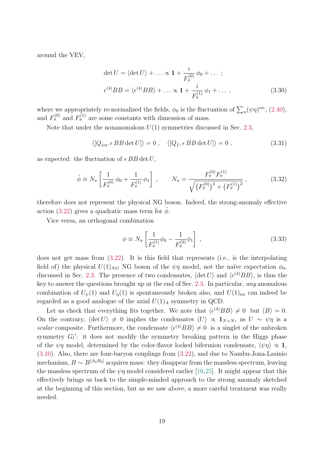around the VEV,

$$
\det U = \langle \det U \rangle + \dots \propto \mathbf{1} + \frac{i}{F_{\pi}^{(0)}} \phi_0 + \dots ;
$$
  

$$
\epsilon^{(4)} BB = \langle \epsilon^{(4)} BB \rangle + \dots \propto \mathbf{1} + \frac{i}{F_{\pi}^{(1)}} \phi_1 + \dots , \qquad (3.30)
$$

where we appropriately re-normalized the fields,  $\phi_0$  is the fluctuation of  $\sum_n (\psi \eta)^{nn}$ , [\(2.40\)](#page-10-1), and  $F_{\pi}^{(0)}$  and  $F_{\pi}^{(1)}$  are some constants with dimension of mass.

Note that under the nonanomalous  $U(1)$  symmetries discussed in Sec. [2.3,](#page-8-1)

$$
\langle [Q_{\psi\eta}, \epsilon BB \det U] \rangle = 0 , \quad \langle [Q_f, \epsilon BB \det U] \rangle = 0 , \qquad (3.31)
$$

as expected: the fluctuation of  $\epsilon BB \det U$ ,

$$
\tilde{\phi} \equiv N_{\pi} \left[ \frac{1}{F_{\pi}^{(0)}} \phi_0 + \frac{1}{F_{\pi}^{(1)}} \phi_1 \right] , \qquad N_{\pi} = \frac{F_{\pi}^{(0)} F_{\pi}^{(1)}}{\sqrt{\left(F_{\pi}^{(0)}\right)^2 + \left(F_{\pi}^{(1)}\right)^2}} , \tag{3.32}
$$

therefore does not represent the physical NG boson. Indeed, the strong-anomaly effective action [\(3.22\)](#page-16-1) gives a quadratic mass term for  $\phi$ .

Vice versa, an orthogonal combination

<span id="page-18-0"></span>
$$
\phi \equiv N_{\pi} \left[ \frac{1}{F_{\pi}^{(1)}} \phi_0 - \frac{1}{F_{\pi}^{(0)}} \phi_1 \right] , \qquad (3.33)
$$

does not get mass from [\(3.22\)](#page-16-1). It is this field that represents (i.e., is the interpolating field of) the physical  $U(1)_{NG}$  NG boson of the  $\psi\eta$  model, not the naïve expectation  $\phi_0$ . discussed in Sec. [2.3.](#page-8-1) The presence of two condensates,  $\langle \det U \rangle$  and  $\langle \epsilon^{(4)}BB \rangle$ , is thus the key to answer the questions brought up at the end of Sec. [2.3.](#page-8-1) In particular, any anomalous combination of  $U_{\psi}(1)$  and  $U_{\eta}(1)$  is spontaneously broken also, and  $U(1)_{an}$  can indeed be regarded as a good analogue of the axial  $U(1)_A$  symmetry in QCD.

Let us check that everything fits together. We note that  $\langle \epsilon^{(4)}BB \rangle \neq 0$  but  $\langle B \rangle = 0$ . On the contrary,  $\langle \det U \rangle \neq 0$  implies the condensates  $\langle U \rangle \propto \mathbf{1}_{N \times N}$ , as  $U \sim \psi \eta$  is a scalar composite. Furthermore, the condensate  $\langle \epsilon^{(4)}BB \rangle \neq 0$  is a singlet of the unbroken symmetry  $G_f$ : it does not modify the symmetry breaking pattern in the Higgs phase of the  $\psi\eta$  model, determined by the color-flavor locked bifermion condensate,  $\langle \psi \eta \rangle \propto 1$ , [\(3.10\)](#page-15-2). Also, there are four-baryon couplings from [\(3.22\)](#page-16-1), and due to Nambu-Jona-Lasinio mechanism,  $B \sim B^{[A_2 B_2]}$  acquires mass: they disappear from the massless spectrum, leaving the massless spectrum of the  $\psi\eta$  model considered earlier [\[10,](#page-34-3)[25\]](#page-35-5). It might appear that this effectively brings us back to the simple-minded approach to the strong anomaly sketched at the beginning of this section, but as we saw above, a more careful treatment was really needed.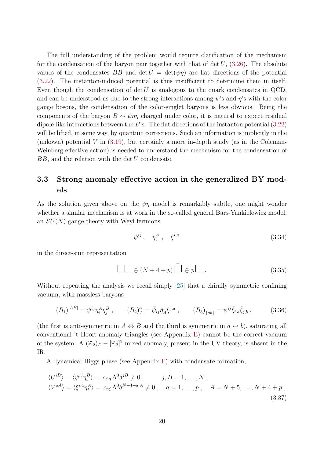The full understanding of the problem would require clarification of the mechanism for the condensation of the baryon pair together with that of det  $U$ , [\(3.26\)](#page-17-0). The absolute values of the condensates BB and  $\det U = \det(\psi \eta)$  are flat directions of the potential [\(3.22\)](#page-16-1). The instanton-induced potential is thus insufficient to determine them in itself. Even though the condensation of det  $U$  is analogous to the quark condensates in QCD, and can be understood as due to the strong interactions among  $\psi$ 's and  $\eta$ 's with the color gauge bosons, the condensation of the color-singlet baryons is less obvious. Being the components of the baryon  $B \sim \psi \eta \eta$  charged under color, it is natural to expect residual dipole-like interactions between the B's. The flat directions of the instanton potential  $(3.22)$ will be lifted, in some way, by quantum corrections. Such an information is implicitly in the (unkown) potential  $V$  in [\(3.19\)](#page-16-2), but certainly a more in-depth study (as in the Coleman-Weinberg effective action) is needed to understand the mechanism for the condensation of  $BB$ , and the relation with the det  $U$  condensate.

#### <span id="page-19-0"></span>3.3 Strong anomaly effective action in the generalized BY models

As the solution given above on the  $\psi\eta$  model is remarkably subtle, one might wonder whether a similar mechanism is at work in the so-called general Bars-Yankielowicz model, an  $SU(N)$  gauge theory with Weyl fermions

$$
\psi^{ij}, \quad \eta_i^A, \quad \xi^{i,a} \tag{3.34}
$$

in the direct-sum representation

$$
\Box \oplus (N+4+p)\bar{\Box} \oplus p\Box. \tag{3.35}
$$

Without repeating the analysis we recall simply [\[25\]](#page-35-5) that a chirally symmetric confining vacuum, with massless baryons

<span id="page-19-1"></span>
$$
(B_1)^{[AB]} = \psi^{ij} \eta_i^A \eta_j^B , \qquad (B_2)^a_A = \bar{\psi}_{ij} \bar{\eta}_A^i \xi^{j,a} , \qquad (B_3)_{\{ab\}} = \psi^{ij} \bar{\xi}_{i,a} \bar{\xi}_{j,b} , \qquad (3.36)
$$

(the first is anti-symmetric in  $A \leftrightarrow B$  and the third is symmetric in  $a \leftrightarrow b$ ), saturating all conventional 't Hooft anomaly triangles (see Appendix [E\)](#page-39-0) cannot be the correct vacuum of the system. A  $(\mathbb{Z}_2)_F - [\mathbb{Z}_2]^2$  mixed anomaly, present in the UV theory, is absent in the IR.

A dynamical Higgs phase (see Appendix [F\)](#page-41-0) with condensate formation,

<span id="page-19-2"></span>
$$
\langle U^{iB} \rangle = \langle \psi^{ij} \eta_i^B \rangle = c_{\psi \eta} \Lambda^3 \delta^{jB} \neq 0 , \qquad j, B = 1, ..., N ,
$$
  

$$
\langle V^{aA} \rangle = \langle \xi^{i,a} \eta_i^A \rangle = c_{\eta \xi} \Lambda^3 \delta^{N+4+a,A} \neq 0 , \quad a = 1, ..., p , \quad A = N+5, ..., N+4+p ,
$$
  
(3.37)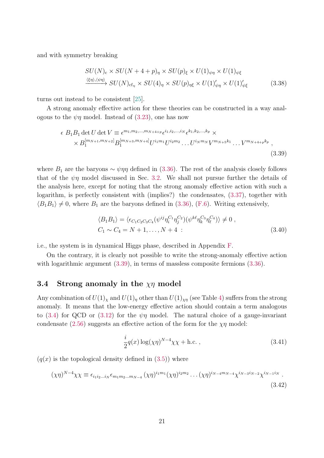and with symmetry breaking

$$
SU(N)_{\rm c} \times SU(N + 4 + p)_{\eta} \times SU(p)_{\xi} \times U(1)_{\psi\eta} \times U(1)_{\psi\xi}
$$
  

$$
\xrightarrow{\langle \xi\eta \rangle, \langle \psi\eta \rangle} SU(N)_{\rm cf_{\eta}} \times SU(4)_{\eta} \times SU(p)_{\eta\xi} \times U(1)'_{\psi\eta} \times U(1)'_{\psi\xi}
$$
 (3.38)

turns out instead to be consistent [\[25\]](#page-35-5).

A strong anomaly effective action for these theories can be constructed in a way analogous to the  $\psi\eta$  model. Instead of [\(3.23\)](#page-16-3), one has now

<span id="page-20-1"></span>
$$
\epsilon B_1 B_1 \det U \det V \equiv \epsilon^{m_1, m_2, \dots, m_{N+4+p}} \epsilon^{i_1, i_2, \dots, i_N} \epsilon^{k_1, k_2, \dots, k_p} \times
$$
  
 
$$
\times B_1^{[m_{N+1}, m_{N+2}]} B_1^{[m_{N+3}, m_{N+4}]} U^{i_1 m_1} U^{i_2 m_2} \dots U^{i_N m_N} V^{m_{N+5} k_1} \dots V^{m_{N+4+p} k_p},
$$
  
(3.39)

where  $B_1$  are the baryons  $\sim \psi \eta \eta$  defined in [\(3.36\)](#page-19-1). The rest of the analysis closely follows that of the  $\psi\eta$  model discussed in Sec. [3.2.](#page-15-1) We shall not pursue further the details of the analysis here, except for noting that the strong anomaly effective action with such a logarithm, is perfectly consistent with (implies?) the condensates,  $(3.37)$ , together with  $\langle B_1 B_1 \rangle \neq 0$ , where  $B_1$  are the baryons defined in [\(3.36\)](#page-19-1), [\(F.6\)](#page-42-2). Writing extensively,

$$
\langle B_1 B_1 \rangle = \langle \epsilon_{C_1 C_2 C_3 C_4} (\psi^{ij} \eta_i^{C_1} \eta_j^{C_2}) (\psi^{k\ell} \eta_k^{C_3} \eta_\ell^{C_4}) \rangle \neq 0 ,
$$
  
\n
$$
C_1 \sim C_4 = N + 1, ..., N + 4 : \tag{3.40}
$$

i.e., the system is in dynamical Higgs phase, described in Appendix [F.](#page-41-0)

On the contrary, it is clearly not possible to write the strong-anomaly effective action with logarithmic argument  $(3.39)$ , in terms of massless composite fermions  $(3.36)$ .

#### <span id="page-20-0"></span>3.4 Strong anomaly in the  $\chi\eta$  model

Any combination of  $U(1)_\chi$  and  $U(1)_\eta$  other than  $U(1)_{\chi\eta}$  (see Table [4\)](#page-39-1) suffers from the strong anomaly. It means that the low-energy effective action should contain a term analogous to [\(3.4\)](#page-14-0) for QCD or [\(3.12\)](#page-15-3) for the  $\psi\eta$  model. The natural choice of a gauge-invariant condensate [\(2.56\)](#page-13-2) suggests an effective action of the form for the  $\chi\eta$  model:

<span id="page-20-2"></span>
$$
\frac{i}{2}q(x)\log(\chi\eta)^{N-4}\chi\chi + \text{h.c.}\,,\tag{3.41}
$$

 $(q(x))$  is the topological density defined in  $(3.5)$ ) where

<span id="page-20-3"></span>
$$
(\chi\eta)^{N-4}\chi\chi \equiv \epsilon_{i_1i_2\ldots i_N}\epsilon_{m_1m_2\ldots m_{N-4}}(\chi\eta)^{i_1m_1}(\chi\eta)^{i_2m_2}\ldots(\chi\eta)^{i_{N-4}m_{N-4}}\chi^{i_{N-3}i_{N-2}}\chi^{i_{N-1}i_N}.
$$
\n(3.42)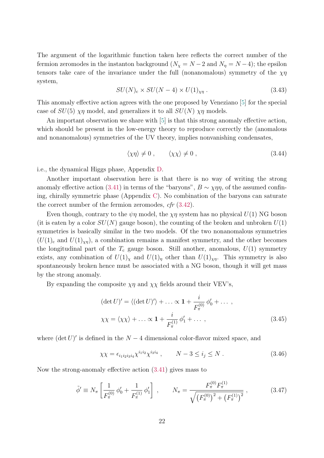The argument of the logarithmic function taken here reflects the correct number of the fermion zeromodes in the instanton background  $(N_{\chi} = N - 2 \text{ and } N_{\eta} = N - 4)$ ; the epsilon tensors take care of the invariance under the full (nonanomalous) symmetry of the  $\chi\eta$ system,

$$
SU(N)_{\rm c} \times SU(N-4) \times U(1)_{\chi\eta} \ . \tag{3.43}
$$

This anomaly effective action agrees with the one proposed by Veneziano [\[5\]](#page-34-1) for the special case of  $SU(5)$   $\chi\eta$  model, and generalizes it to all  $SU(N)$   $\chi\eta$  models.

An important observation we share with [\[5\]](#page-34-1) is that this strong anomaly effective action, which should be present in the low-energy theory to reproduce correctly the (anomalous and nonanomalous) symmetries of the UV theory, implies nonvanishing condensates,

$$
\langle \chi \eta \rangle \neq 0 \;, \qquad \langle \chi \chi \rangle \neq 0 \;, \tag{3.44}
$$

i.e., the dynamical Higgs phase, Appendix [D.](#page-38-0)

Another important observation here is that there is no way of writing the strong anomaly effective action [\(3.41\)](#page-20-2) in terms of the "baryons",  $B \sim \chi \eta \eta$ , of the assumed confining, chirally symmetric phase (Appendix [C\)](#page-37-1). No combination of the baryons can saturate the correct number of the fermion zeromodes,  $cfr(3.42)$  $cfr(3.42)$ .

Even though, contrary to the  $\psi\eta$  model, the  $\chi\eta$  system has no physical  $U(1)$  NG boson (it is eaten by a color  $SU(N)$  gauge boson), the counting of the broken and unbroken  $U(1)$ symmetries is basically similar in the two models. Of the two nonanomalous symmetries  $(U(1)<sub>c</sub>$  and  $U(1)<sub>xn</sub>$ ), a combination remains a manifest symmetry, and the other becomes the longitudinal part of the  $T_c$  gauge boson. Still another, anomalous,  $U(1)$  symmetry exists, any combination of  $U(1)_\chi$  and  $U(1)_\eta$  other than  $U(1)_{\chi\eta}$ . This symmetry is also spontaneously broken hence must be associated with a NG boson, though it will get mass by the strong anomaly.

By expanding the composite  $\chi \eta$  and  $\chi \chi$  fields around their VEV's,

$$
(\det U)' = \langle (\det U)' \rangle + \dots \propto \mathbf{1} + \frac{i}{F_{\pi}^{(0)}} \phi'_0 + \dots ,
$$
  

$$
\chi \chi = \langle \chi \chi \rangle + \dots \propto \mathbf{1} + \frac{i}{F_{\pi}^{(1)}} \phi'_1 + \dots , \tag{3.45}
$$

where  $(\det U)'$  is defined in the  $N-4$  dimensional color-flavor mixed space, and

$$
\chi \chi = \epsilon_{i_1 i_2 i_3 i_4} \chi^{i_1 i_2} \chi^{i_3 i_4} , \qquad N - 3 \le i_j \le N . \tag{3.46}
$$

Now the strong-anomaly effective action [\(3.41\)](#page-20-2) gives mass to

$$
\tilde{\phi}' \equiv N_{\pi} \left[ \frac{1}{F_{\pi}^{(0)}} \phi'_{0} + \frac{1}{F_{\pi}^{(1)}} \phi'_{1} \right], \qquad N_{\pi} = \frac{F_{\pi}^{(0)} F_{\pi}^{(1)}}{\sqrt{\left(F_{\pi}^{(0)}\right)^{2} + \left(F_{\pi}^{(1)}\right)^{2}}}, \qquad (3.47)
$$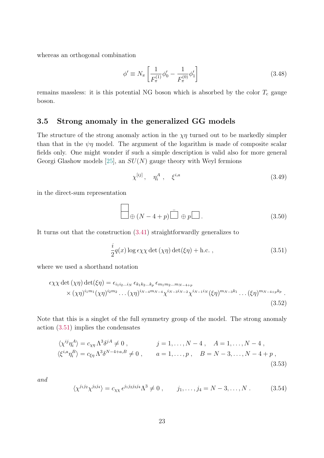whereas an orthogonal combination

$$
\phi' \equiv N_{\pi} \left[ \frac{1}{F_{\pi}^{(1)}} \phi_0' - \frac{1}{F_{\pi}^{(0)}} \phi_1' \right]
$$
\n(3.48)

remains massless: it is this potential NG boson which is absorbed by the color  $T_c$  gauge boson.

#### <span id="page-22-0"></span>3.5 Strong anomaly in the generalized GG models

The structure of the strong anomaly action in the  $\chi\eta$  turned out to be markedly simpler than that in the  $\psi\eta$  model. The argument of the logarithm is made of composite scalar fields only. One might wonder if such a simple description is valid also for more general Georgi Glashow models [\[25\]](#page-35-5), an  $SU(N)$  gauge theory with Weyl fermions

$$
\chi^{[ij]}, \quad \eta_i^A \ , \quad \xi^{i,a} \tag{3.49}
$$

in the direct-sum representation

$$
\Box \oplus (N-4+p) \bar{\Box} \oplus p \Box . \tag{3.50}
$$

It turns out that the construction [\(3.41\)](#page-20-2) straightforwardly generalizes to

<span id="page-22-1"></span>
$$
\frac{i}{2}q(x)\log\epsilon\chi\chi\det\left(\chi\eta\right)\det(\xi\eta) + \text{h.c.}\,,\tag{3.51}
$$

where we used a shorthand notation

<span id="page-22-2"></span>
$$
\epsilon \chi \chi \det (\chi \eta) \det (\xi \eta) = \epsilon_{i_1 i_2 \dots i_N} \epsilon_{k_1 k_2 \dots k_p} \epsilon_{m_1 m_2 \dots m_{N-4+p}} \times (\chi \eta)^{i_1 m_1} (\chi \eta)^{i_2 m_2} \dots (\chi \eta)^{i_{N-4} m_{N-4}} \chi^{i_{N-3} i_{N-2}} \chi^{i_{N-1} i_N} (\xi \eta)^{m_{N-3} k_1} \dots (\xi \eta)^{m_{N-4+p} k_p}.
$$
\n(3.52)

Note that this is a singlet of the full symmetry group of the model. The strong anomaly action [\(3.51\)](#page-22-1) implies the condensates

$$
\langle \chi^{ij} \eta_i^A \rangle = c_{\chi\eta} \Lambda^3 \delta^{jA} \neq 0, \qquad j = 1, ..., N - 4, \quad A = 1, ..., N - 4,
$$
  

$$
\langle \xi^{i,a} \eta_i^B \rangle = c_{\xi\eta} \Lambda^3 \delta^{N-4+a,B} \neq 0, \qquad a = 1, ..., p, \quad B = N - 3, ..., N - 4 + p,
$$
  
(3.53)

and

$$
\langle \chi^{j_1 j_2} \chi^{j_3 j_4} \rangle = c_{\chi \chi} \epsilon^{j_1 j_2 j_3 j_4} \Lambda^3 \neq 0 , \qquad j_1, \dots, j_4 = N - 3, \dots, N . \tag{3.54}
$$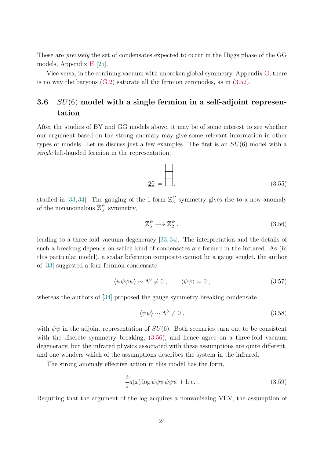These are precisely the set of condensates expected to occur in the Higgs phase of the GG models, Appendix [H](#page-44-0) [\[25\]](#page-35-5).

Vice versa, in the confining vacuum with unbroken global symmetry, Appendix [G,](#page-43-0) there is no way the baryons  $(G.2)$  saturate all the fermion zeromodes, as in  $(3.52)$ .

### <span id="page-23-0"></span>3.6  $SU(6)$  model with a single fermion in a self-adjoint representation

After the studies of BY and GG models above, it may be of some interest to see whether our argument based on the strong anomaly may give some relevant information in other types of models. Let us discuss just a few examples. The first is an  $SU(6)$  model with a single left-handed fermion in the representation,

$$
\underline{20} = \boxed{\phantom{000}} \tag{3.55}
$$

studied in [\[33,](#page-36-1) [34\]](#page-36-2). The gauging of the 1-form  $\mathbb{Z}_3^C$  symmetry gives rise to a new anomaly of the nonanomalous  $\mathbb{Z}_6^{\psi}$  $_6^{\psi}$  symmetry,

<span id="page-23-1"></span>
$$
\mathbb{Z}_6^{\psi} \longrightarrow \mathbb{Z}_2^{\psi} \,, \tag{3.56}
$$

leading to a three-fold vacuum degeneracy [\[33,](#page-36-1) [34\]](#page-36-2). The interpretation and the details of such a breaking depends on which kind of condensates are formed in the infrared. As (in this particular model), a scalar bifermion composite cannot be a gauge singlet, the author of [\[33\]](#page-36-1) suggested a four-fermion condensate

<span id="page-23-2"></span>
$$
\langle \psi \psi \psi \psi \rangle \sim \Lambda^6 \neq 0 \;, \qquad \langle \psi \psi \rangle = 0 \;, \tag{3.57}
$$

whereas the authors of [\[34\]](#page-36-2) proposed the gauge symmetry breaking condensate

<span id="page-23-3"></span>
$$
\langle \psi \psi \rangle \sim \Lambda^3 \neq 0 \,, \tag{3.58}
$$

with  $\psi\psi$  in the adjoint representation of  $SU(6)$ . Both scenarios turn out to be consistent with the discrete symmetry breaking,  $(3.56)$ , and hence agree on a three-fold vacuum degeneracy, but the infrared physics associated with these assumptions are quite different, and one wonders which of the assumptions describes the system in the infrared.

The strong anomaly effective action in this model has the form,

<span id="page-23-4"></span>
$$
\frac{i}{2}q(x)\log\psi\psi\psi\psi\psi + \text{h.c.} \tag{3.59}
$$

Requiring that the argument of the log acquires a nonvanishing VEV, the assumption of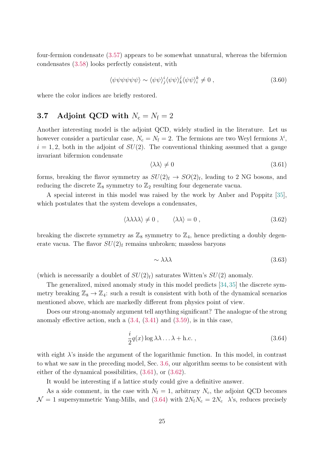four-fermion condensate [\(3.57\)](#page-23-2) appears to be somewhat unnatural, whereas the bifermion condensates [\(3.58\)](#page-23-3) looks perfectly consistent, with

$$
\langle \psi \psi \psi \psi \psi \psi \rangle \sim \langle \psi \psi \rangle_j^i \langle \psi \psi \rangle_k^j \langle \psi \psi \rangle_i^k \neq 0 , \qquad (3.60)
$$

where the color indices are briefly restored.

### <span id="page-24-0"></span>3.7 Adjoint QCD with  $N_c = N_f = 2$

Another interesting model is the adjoint QCD, widely studied in the literature. Let us however consider a particular case,  $N_c = N_f = 2$ . The fermions are two Weyl fermions  $\lambda^i$ ,  $i = 1, 2$ , both in the adjoint of  $SU(2)$ . The conventional thinking assumed that a gauge invariant bifermion condensate

<span id="page-24-1"></span>
$$
\langle \lambda \lambda \rangle \neq 0 \tag{3.61}
$$

forms, breaking the flavor symmetry as  $SU(2)_{\rm f} \rightarrow SO(2)_{\rm f}$ , leading to 2 NG bosons, and reducing the discrete  $\mathbb{Z}_8$  symmetry to  $\mathbb{Z}_2$  resulting four degenerate vacua.

A special interest in this model was raised by the work by Anber and Poppitz [\[35\]](#page-36-3), which postulates that the system develops a condensates,

<span id="page-24-2"></span>
$$
\langle \lambda \lambda \lambda \lambda \rangle \neq 0 \,, \qquad \langle \lambda \lambda \rangle = 0 \,, \tag{3.62}
$$

breaking the discrete symmetry as  $\mathbb{Z}_8$  symmetry to  $\mathbb{Z}_4$ , hence predicting a doubly degenerate vacua. The flavor  $SU(2)$ <sub>f</sub> remains unbroken; massless baryons

$$
\sim \lambda \lambda \lambda \tag{3.63}
$$

(which is necessarily a doublet of  $SU(2)<sub>f</sub>$ ) saturates Witten's  $SU(2)$  anomaly.

The generalized, mixed anomaly study in this model predicts [\[34,](#page-36-2)[35\]](#page-36-3) the discrete symmetry breaking  $\mathbb{Z}_8 \to \mathbb{Z}_4$ : such a result is consistent with both of the dynamical scenarios mentioned above, which are markedly different from physics point of view.

Does our strong-anomaly argument tell anything significant? The analogue of the strong anomaly effective action, such a  $(3.4, (3.41)$  $(3.4, (3.41)$  $(3.4, (3.41)$  and  $(3.59)$ , is in this case,

<span id="page-24-3"></span>
$$
\frac{i}{2}q(x)\log\lambda\lambda\ldots\lambda + \text{h.c.},\qquad(3.64)
$$

with eight  $\lambda$ 's inside the argument of the logarithmic function. In this model, in contrast to what we saw in the preceding model, Sec. [3.6,](#page-23-0) our algorithm seems to be consistent with either of the dynamical possibilities, [\(3.61\)](#page-24-1), or [\(3.62\)](#page-24-2).

It would be interesting if a lattice study could give a definitive answer.

As a side comment, in the case with  $N_f = 1$ , arbitrary  $N_c$ , the adjoint QCD becomes  $\mathcal{N}=1$  supersymmetric Yang-Mills, and [\(3.64\)](#page-24-3) with  $2N_fN_c=2N_c$   $\lambda$ 's, reduces precisely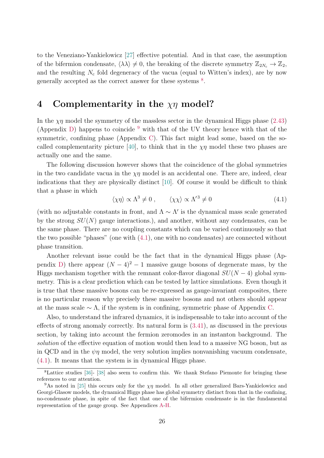to the Veneziano-Yankielowicz [\[27\]](#page-35-7) effective potential. And in that case, the assumption of the bifermion condensate,  $\langle \lambda \lambda \rangle \neq 0$ , the breaking of the discrete symmetry  $\mathbb{Z}_{2N_c} \to \mathbb{Z}_2$ , and the resulting  $N_c$  fold degeneracy of the vacua (equal to Witten's index), are by now generally accepted as the correct answer for these systems  $8$ .

#### <span id="page-25-0"></span>4 Complementarity in the  $\chi\eta$  model?

In the  $\chi\eta$  model the symmetry of the massless sector in the dynamical Higgs phase [\(2.43\)](#page-11-2) (Appendix [D\)](#page-38-0) happens to coincide  $9$  with that of the UV theory hence with that of the symmetric, confining phase (Appendix [C\)](#page-37-1). This fact might lead some, based on the so-called complementarity picture [\[40\]](#page-36-4), to think that in the  $\chi\eta$  model these two phases are actually one and the same.

The following discussion however shows that the coincidence of the global symmetries in the two candidate vacua in the  $\chi\eta$  model is an accidental one. There are, indeed, clear indications that they are physically distinct [\[10\]](#page-34-3). Of course it would be difficult to think that a phase in which

<span id="page-25-1"></span>
$$
\langle \chi \eta \rangle \propto \Lambda^3 \neq 0 \;, \qquad \langle \chi \chi \rangle \propto \Lambda^{\prime 3} \neq 0 \tag{4.1}
$$

(with no adjustable constants in front, and  $\Lambda \sim \Lambda'$  is the dynamical mass scale generated by the strong  $SU(N)$  gauge interactions.), and another, without any condensates, can be the same phase. There are no coupling constants which can be varied continuously so that the two possible "phases" (one with [\(4.1\)](#page-25-1), one with no condensates) are connected without phase transition.

Another relevant issue could be the fact that in the dynamical Higgs phase (Ap-pendix [D\)](#page-38-0) there appear  $(N-4)^2-1$  massive gauge bosons of degenerate mass, by the Higgs mechanism together with the remnant color-flavor diagonal  $SU(N-4)$  global symmetry. This is a clear prediction which can be tested by lattice simulations. Even though it is true that these massive bosons can be re-expressed as gauge-invariant composites, there is no particular reason why precisely these massive bosons and not others should appear at the mass scale  $\sim \Lambda$ , if the system is in confining, symmetric phase of Appendix [C.](#page-37-1)

Also, to understand the infrared dynamics, it is indispensable to take into account of the effects of strong anomaly correctly. Its natural form is [\(3.41\)](#page-20-2), as discussed in the previous section, by taking into account the fermion zeromodes in an instanton background. The solution of the effective equation of motion would then lead to a massive NG boson, but as in QCD and in the  $\psi\eta$  model, the very solution implies nonvanishing vacuum condensate, [\(4.1\)](#page-25-1). It means that the system is in dynamical Higgs phase.

<sup>&</sup>lt;sup>8</sup>Lattice studies [\[36\]](#page-36-5)- [\[38\]](#page-36-6) also seem to confirm this. We thank Stefano Piemonte for bringing these references to our attention.

<sup>&</sup>lt;sup>9</sup>As noted in [\[25\]](#page-35-5) this occurs only for the  $\chi\eta$  model. In all other generalized Bars-Yankielowicz and Georgi-Glasow models, the dynamical Higgs phase has global symmetry distinct from that in the confining, no-condensate phase, in spite of the fact that one of the bifermion condensate is in the fundamental representation of the gauge group. See Appendices [A-](#page-36-0)[H.](#page-44-0)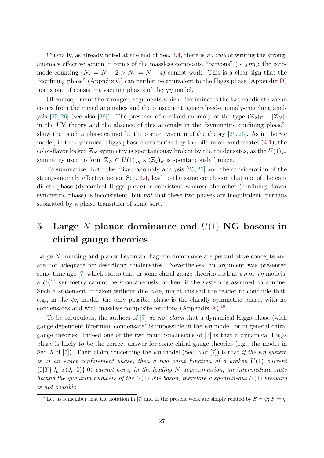Crucially, as already noted at the end of Sec. [3.4,](#page-20-0) there is no way of writing the stronganomaly effective action in terms of the massless composite "baryons" ( $\sim \chi \eta \eta$ ): the zeromode counting  $(N_\chi = N - 2 > N_\eta = N - 4)$  cannot work. This is a clear sign that the "confining phase" (Appndix [C\)](#page-37-1) can neither be equivalent to the Higgs phase (Appendix [D\)](#page-38-0) nor is one of consistent vacuum phases of the  $\chi\eta$  model.

Of course, one of the strongest arguments which discriminates the two candidate vacua comes from the mixed anomalies and the consequent, generalized-anomaly-matching anal-ysis [\[25,](#page-35-5) [26\]](#page-35-6) (see also [\[39\]](#page-36-7)). The presence of a mixed anomaly of the type  $(\mathbb{Z}_2)_F - [\mathbb{Z}_N]^2$ in the UV theory and the absence of this anomaly in the "symmetric confining phase", show that such a phase cannot be the correct vacuum of the theory [\[25,](#page-35-5) [26\]](#page-35-6). As in the  $\psi\eta$ model, in the dynamical Higgs phase characterized by the bifermion condensates [\(4.1\)](#page-25-1), the color-flavor locked  $\mathbb{Z}_N$  symmetry is spontaneousy broken by the condensates, as the  $U(1)_{\chi n}$ symmetry used to form  $\mathbb{Z}_N \subset U(1)_{\chi\eta} \times (\mathbb{Z}_2)_F$  is spontaneously broken.

To summarize: both the mixed-anomaly analysis [\[25,](#page-35-5) [26\]](#page-35-6) and the consideration of the strong-anomaly effective action Sec. [3.4,](#page-20-0) lead to the same conclusion that one of the candidate phase (dynamical Higgs phase) is consistent whereas the other (confining, flavor symmetric phase) is inconsistent, but *not* that these two phases are inequivalent, perhaps separated by a phase transition of some sort.

## <span id="page-26-0"></span>5 Large N planar dominance and  $U(1)$  NG bosons in chiral gauge theories

Large N counting and planar Feynman diagram dominance are perturbative concepts and are not adequate for describing condensates. Nevertheless, an argument was presented some time ago [\[7\]](#page-34-4) which states that in some chiral gauge theories such as  $\psi \eta$  or  $\chi \eta$  models, a  $U(1)$  symmetry cannot be spontaneously broken, if the system is assumed to confine. Such a statement, if taken without due care, might mislead the reader to conclude that, e.g., in the  $\psi\eta$  model, the only possible phase is the chirally symmetric phase, with no condensates and with massless composite fermions (Appendix [A\)](#page-36-0).<sup>[10](#page-0-0)</sup>

To be scrupulous, the authors of [\[7\]](#page-34-4) do not claim that a dynamical Higgs phase (with gauge dependent bifermion condensate) is impossible in the  $\psi\eta$  model, or in general chiral gauge theories. Indeed one of the two main conclusions of [\[7\]](#page-34-4) is that a dynamical Higgs phase is likely to be the correct answer for some chiral gauge theories (e.g., the model in Sec. 5 of [\[7\]](#page-34-4)). Their claim concerning the  $\psi\eta$  model (Sec. 3 of [7]) is that if the  $\psi\eta$  system is in an exact confinement phase, then a two point function of a broken  $U(1)$  current  $\langle 0|T\{J_\mu(x)J_\nu(0)\}|0\rangle$  cannot have, in the leading N approximation, an intermediate state having the quantum numbers of the  $U(1)$  NG boson, therefore a spontaneous  $U(1)$  breaking is not possible.

<sup>&</sup>lt;sup>10</sup>Let us remember that the notation in [\[7\]](#page-34-4) and in the present work are simply related by  $S = \psi$ ;  $\bar{F} = \eta$ .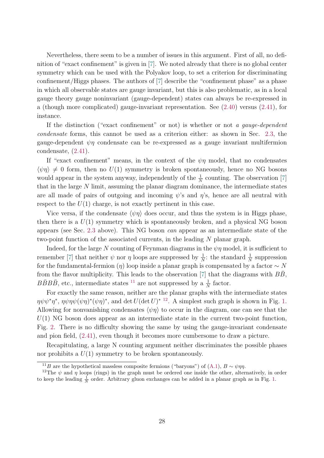Nevertheless, there seem to be a number of issues in this argument. First of all, no definition of "exact confinement" is given in [\[7\]](#page-34-4). We noted already that there is no global center symmetry which can be used with the Polyakov loop, to set a criterion for discriminating confinement/Higgs phases. The authors of [\[7\]](#page-34-4) describe the "confinement phase" as a phase in which all observable states are gauge invariant, but this is also problematic, as in a local gauge theory gauge noninvariant (gauge-dependent) states can always be re-expressed in a (though more complicated) gauge-invariant representation. See [\(2.40\)](#page-10-1) versus [\(2.41\)](#page-10-2), for instance.

If the distinction ("exact confinement" or not) is whether or not a gauge-dependent condensate forms, this cannot be used as a criterion either: as shown in Sec. [2.3,](#page-8-1) the gauge-dependent  $\psi\eta$  condensate can be re-expressed as a gauge invariant multifermion condensate, [\(2.41\)](#page-10-2).

If "exact confinement" means, in the context of the  $\psi\eta$  model, that no condensates  $\langle \psi \eta \rangle \neq 0$  form, then no  $U(1)$  symmetry is broken spontaneously, hence no NG bosons would appear in the system anyway, independently of the  $\frac{1}{N}$  counting. The observation [\[7\]](#page-34-4) that in the large  $N$  limit, assuming the planar diagram dominance, the intermediate states are all made of pairs of outgoing and incoming  $\psi$ 's and  $\eta$ 's, hence are all neutral with respect to the  $U(1)$  charge, is not exactly pertinent in this case.

Vice versa, if the condensate  $\langle \psi \eta \rangle$  does occur, and thus the system is in Higgs phase, then there is a  $U(1)$  symmetry which is spontaneously broken, and a physical NG boson appears (see Sec. [2.3](#page-8-1) above). This NG boson can appear as an intermediate state of the two-point function of the associated currents, in the leading N planar graph.

Indeed, for the large N counting of Feynman diagrams in the  $\psi\eta$  model, it is sufficient to remember [\[7\]](#page-34-4) that neither  $\psi$  nor  $\eta$  loops are suppressed by  $\frac{1}{N}$ : the standard  $\frac{1}{N}$  suppression for the fundamental-fermion (η) loop inside a planar graph is compensated by a factor  $\sim N$ from the flavor multiplicity. This leads to the observation  $[7]$  that the diagrams with  $BB$ ,  $B\bar{B}B\bar{B}$ , etc., intermediate states <sup>[11](#page-0-0)</sup> are not suppressed by a  $\frac{1}{N}$  factor.

For exactly the same reason, neither are the planar graphs with the intermediate states  $\eta \psi \psi^* \eta^*, \eta \psi \eta \psi (\psi \eta)^* (\psi \eta)^*,$  and det  $U(\det U)^*$ <sup>[12](#page-0-0)</sup>. A simplest such graph is shown in Fig. [1.](#page-28-1) Allowing for nonvanishing condensates  $\langle \psi \eta \rangle$  to occur in the diagram, one can see that the  $U(1)$  NG boson does appear as an intermediate state in the current two-point function, Fig. [2.](#page-28-2) There is no difficulty showing the same by using the gauge-invariant condensate and pion field, [\(2.41\)](#page-10-2), even though it becomes more cumbersome to draw a picture.

Recapitulating, a large N counting argument neither discriminates the possible phases nor prohibits a  $U(1)$  symmetry to be broken spontaneously.

<sup>&</sup>lt;sup>11</sup>B are the hypothetical massless composite fermions ("baryons") of [\(A.1\)](#page-36-8),  $B \sim \psi \eta \eta$ .

<sup>&</sup>lt;sup>12</sup>The  $\psi$  and  $\eta$  loops (rings) in the graph must be ordered one inside the other, alternatively, in order to keep the leading  $\frac{1}{N}$  order. Arbitrary gluon exchanges can be added in a planar graph as in Fig. [1.](#page-28-1)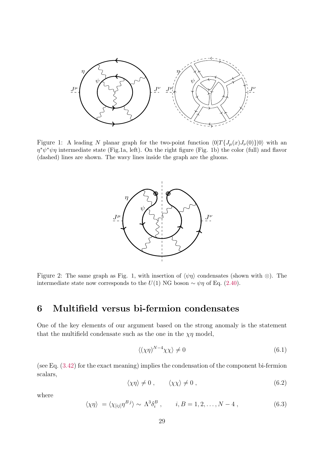<span id="page-28-1"></span>

<span id="page-28-2"></span>Figure 1: A leading N planar graph for the two-point function  $\langle 0|T\{J_\mu(x)J_\nu(0)\}|0\rangle$  with an  $\eta^* \psi^* \psi \eta$  intermediate state (Fig.1a, left). On the right figure (Fig. 1b) the color (full) and flavor (dashed) lines are shown. The wavy lines inside the graph are the gluons.



Figure 2: The same graph as Fig. 1, with insertion of  $\langle \psi \eta \rangle$  condensates (shown with ⊗). The intermediate state now corresponds to the  $U(1)$  NG boson  $\sim \psi \eta$  of Eq. [\(2.40\)](#page-10-1).

### <span id="page-28-0"></span>6 Multifield versus bi-fermion condensates

One of the key elements of our argument based on the strong anomaly is the statement that the multifield condensate such as the one in the  $\chi\eta$  model,

<span id="page-28-4"></span>
$$
\langle (\chi \eta)^{N-4} \chi \chi \rangle \neq 0 \tag{6.1}
$$

(see Eq. [\(3.42\)](#page-20-3) for the exact meaning) implies the condensation of the component bi-fermion scalars,

<span id="page-28-3"></span>
$$
\langle \chi \eta \rangle \neq 0 \;, \qquad \langle \chi \chi \rangle \neq 0 \;, \tag{6.2}
$$

where

$$
\langle \chi \eta \rangle = \langle \chi_{[ij]} \eta^{Bj} \rangle \sim \Lambda^3 \delta_i^B , \qquad i, B = 1, 2, \dots, N - 4 , \qquad (6.3)
$$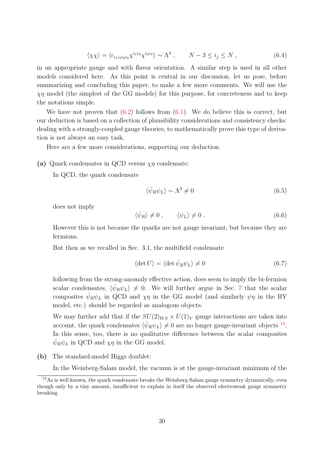$$
\langle \chi \chi \rangle = \langle \epsilon_{i_1 i_2 i_3 i_4} \chi^{i_1 i_2} \chi^{i_3 i_4} \rangle \sim \Lambda^3 , \qquad N - 3 \le i_j \le N , \qquad (6.4)
$$

in an appropriate gauge and with flavor orientation. A similar step is used in all other models considered here. As this point is central in our discussion, let us pose, before summarizing and concluding this paper, to make a few more comments. We will use the  $\chi\eta$  model (the simplest of the GG models) for this purpose, for concreteness and to keep the notations simple.

We have not proven that  $(6.2)$  follows from  $(6.1)$ . We do believe this is correct, but our deduction is based on a collection of plausibility considerations and consistency checks: dealing with a strongly-coupled gauge theories, to mathematically prove this type of derivation is not always an easy task.

Here are a few more considerations, supporting our deduction.

(a) Quark condensates in QCD versus  $\chi\eta$  condensate:

In QCD, the quark condensate

$$
\langle \bar{\psi}_R \psi_L \rangle \sim \Lambda^3 \neq 0 \tag{6.5}
$$

does not imply

$$
\langle \bar{\psi}_R \rangle \neq 0 \;, \qquad \langle \psi_L \rangle \neq 0 \; . \tag{6.6}
$$

However this is not because the quarks are not gauge invariant, but because they are fermions.

But then as we recalled in Sec. 3.1, the multifield condensate

$$
\langle \det U \rangle = \langle \det \bar{\psi}_R \psi_L \rangle \neq 0 \tag{6.7}
$$

following from the strong-anomaly effective action, does seem to imply the bi-fermion scalar condensates,  $\langle \bar{\psi}_R \psi_L \rangle \neq 0$ . We will further argue in Sec. [7](#page-31-0) that the scalar composites  $\bar{\psi}_R \psi_L$  in QCD and  $\chi \eta$  in the GG model (and similarly  $\psi \eta$  in the BY model, etc.) should be regarded as analogous objects.

We may further add that if the  $SU(2)_{WS} \times U(1)_Y$  gauge interactions are taken into account, the quark condensates  $\langle \bar{\psi}_R \psi_L \rangle \neq 0$  are no longer gauge-invariant objects <sup>[13](#page-0-0)</sup>. In this sense, too, there is no qualitative difference between the scalar composites  $\bar{\psi}_R \psi_L$  in QCD and  $\chi \eta$  in the GG model.

(b) The standard-model Higgs doublet:

In the Weinberg-Salam model, the vacuum is at the gauge-invariant minimum of the

 $13\text{As}$  is well known, the quark condensate breaks the Weinberg-Salam gauge symmetry dynamically, even though only by a tiny amount, insufficient to explain in itself the observed electroweak gauge symmetry breaking.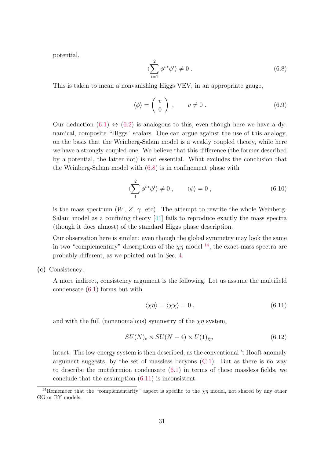potential,

<span id="page-30-0"></span>
$$
\langle \sum_{i=1}^{2} \phi^{i*} \phi^{i} \rangle \neq 0 \tag{6.8}
$$

This is taken to mean a nonvanishing Higgs VEV, in an appropriate gauge,

$$
\langle \phi \rangle = \begin{pmatrix} v \\ 0 \end{pmatrix} , \qquad v \neq 0 . \tag{6.9}
$$

Our deduction  $(6.1) \leftrightarrow (6.2)$  $(6.1) \leftrightarrow (6.2)$  $(6.1) \leftrightarrow (6.2)$  is analogous to this, even though here we have a dynamical, composite "Higgs" scalars. One can argue against the use of this analogy, on the basis that the Weinberg-Salam model is a weakly coupled theory, while here we have a strongly coupled one. We believe that this difference (the former described by a potential, the latter not) is not essential. What excludes the conclusion that the Weinberg-Salam model with [\(6.8\)](#page-30-0) is in confinement phase with

$$
\langle \sum_{1}^{2} \phi^{i*} \phi^{i} \rangle \neq 0 , \qquad \langle \phi \rangle = 0 , \qquad (6.10)
$$

is the mass spectrum  $(W, Z, \gamma, \text{etc})$ . The attempt to rewrite the whole Weinberg-Salam model as a confining theory [\[41\]](#page-36-9) fails to reproduce exactly the mass spectra (though it does almost) of the standard Higgs phase description.

Our observation here is similar: even though the global symmetry may look the same in two "complementary" descriptions of the  $\chi\eta$  model <sup>[14](#page-0-0)</sup>, the exact mass spectra are probably different, as we pointed out in Sec. [4.](#page-25-0)

(c) Consistency:

A more indirect, consistency argument is the following. Let us assume the multifield condensate [\(6.1\)](#page-28-4) forms but with

<span id="page-30-1"></span>
$$
\langle \chi \eta \rangle = \langle \chi \chi \rangle = 0 \,, \tag{6.11}
$$

and with the full (nonanomalous) symmetry of the  $\chi\eta$  system,

$$
SU(N)_{\rm c} \times SU(N-4) \times U(1)_{\chi\eta} \tag{6.12}
$$

intact. The low-energy system is then described, as the conventional 't Hooft anomaly argument suggests, by the set of massless baryons  $(C.1)$ . But as there is no way to describe the mutifermion condensate [\(6.1\)](#page-28-4) in terms of these massless fields, we conclude that the assumption [\(6.11\)](#page-30-1) is inconsistent.

<sup>&</sup>lt;sup>14</sup>Remember that the "complementarity" aspect is specific to the  $\chi\eta$  model, not shared by any other GG or BY models.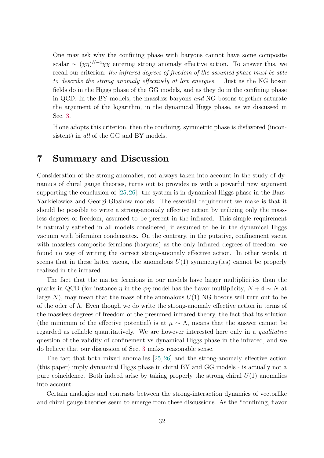One may ask why the confining phase with baryons cannot have some composite scalar  $\sim (\chi \eta)^{N-4} \chi \chi$  entering strong anomaly effective action. To answer this, we recall our criterion: the infrared degrees of freedom of the assumed phase must be able to describe the strong anomaly effectively at low energies. Just as the NG boson fields do in the Higgs phase of the GG models, and as they do in the confining phase in QCD. In the BY models, the massless baryons and NG bosons together saturate the argument of the logarithm, in the dynamical Higgs phase, as we discussed in Sec. [3.](#page-13-0)

If one adopts this criterion, then the confining, symmetric phase is disfavored (inconsistent) in all of the GG and BY models.

### <span id="page-31-0"></span>7 Summary and Discussion

Consideration of the strong-anomalies, not always taken into account in the study of dynamics of chiral gauge theories, turns out to provides us with a powerful new argument supporting the conclusion of [\[25,](#page-35-5) [26\]](#page-35-6): the system is in dynamical Higgs phase in the Bars-Yankielowicz and Georgi-Glashow models. The essential requirement we make is that it should be possible to write a strong-anomaly effective action by utilizing only the massless degrees of freedom, assumed to be present in the infrared. This simple requirement is naturally satisfied in all models considered, if assumed to be in the dynamical Higgs vacuum with bifermion condensates. On the contrary, in the putative, confinement vacua with massless composite fermions (baryons) as the only infrared degrees of freedom, we found no way of writing the correct strong-anomaly effective action. In other words, it seems that in these latter vacua, the anomalous  $U(1)$  symmetry(ies) cannot be properly realized in the infrared.

The fact that the matter fermions in our models have larger multiplicities than the quarks in QCD (for instance  $\eta$  in the  $\psi\eta$  model has the flavor multiplicity,  $N + 4 \sim N$  at large  $N$ ), may mean that the mass of the anomalous  $U(1)$  NG bosons will turn out to be of the oder of Λ. Even though we do write the strong-anomaly effective action in terms of the massless degrees of freedom of the presumed infrared theory, the fact that its solution (the minimum of the effective potential) is at  $\mu \sim \Lambda$ , means that the answer cannot be regarded as reliable quantitatively. We are however interested here only in a qualitative question of the validity of confinement vs dynamical Higgs phase in the infrared, and we do believe that our discussion of Sec. [3](#page-13-0) makes reasonable sense.

The fact that both mixed anomalies [\[25,](#page-35-5) [26\]](#page-35-6) and the strong-anomaly effective action (this paper) imply dynamical Higgs phase in chiral BY and GG models - is actually not a pure coincidence. Both indeed arise by taking properly the strong chiral  $U(1)$  anomalies into account.

Certain analogies and contrasts between the strong-interaction dynamics of vectorlike and chiral gauge theories seem to emerge from these discussions. As the "confining, flavor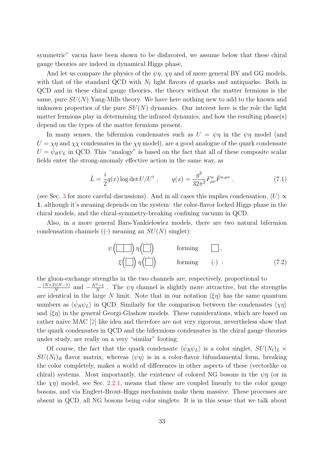symmetric" vacua have been shown to be disfavored, we assume below that these chiral gauge theories are indeed in dynamical Higgs phase.

And let us compare the physics of the  $\psi \eta$ ,  $\chi \eta$  and of more general BY and GG models, with that of the standard QCD with  $N_f$  light flavors of quarks and antiquarks. Both in QCD and in these chiral gauge theories, the theory without the matter fermions is the same, pure  $SU(N)$  Yang-Mills theory. We have here nothing new to add to the known and unknown properties of the pure  $SU(N)$  dynamics. Our interest here is the role the light matter fermions play in determining the infrared dynamics, and how the resulting phase(s) depend on the types of the matter fermions present.

In many senses, the bifermion condensates such as  $U = \psi \eta$  in the  $\psi \eta$  model (and  $U = \chi \eta$  and  $\chi \chi$  condensates in the  $\chi \eta$  model), are a good analogue of the quark condensate  $U = \bar{\psi}_R \psi_L$  in QCD. This "analogy" is based on the fact that all of these composite scalar fields enter the strong-anomaly effective action in the same way, as

$$
\hat{L} = \frac{i}{2}q(x)\log \det U/U^{\dagger} , \qquad q(x) = \frac{g^2}{32\pi^2}F^{a}_{\mu\nu}\tilde{F}^{a,\mu\nu} . \tag{7.1}
$$

(see Sec. [3](#page-13-0) for more careful discussions). And in all cases this implies condensation,  $\langle U \rangle \propto$ 1, although it's meaning depends on the system: the color-flavor locked Higgs phase in the chiral models, and the chiral-symmetry-breaking confining vacuum in QCD.

Also, in a more general Bars-Yankielowicz models, there are two natural bifermion condensation channels  $((\cdot)$  meaning an  $SU(N)$  singlet):

$$
\psi\left(\boxed{\boxed{\phantom{0}}}\right)\eta\left(\boxed{\boxed{\phantom{0}}}\right) \qquad \text{forming} \qquad \boxed{\phantom{0}}\,,
$$
\n
$$
\xi\left(\boxed{\phantom{0}}\right)\eta\left(\boxed{\boxed{\phantom{0}}}\right) \qquad \text{forming} \qquad (\cdot) : \qquad (7.2)
$$

the gluon-exchange strengths in the two channels are, respectively, proportional to  $-\frac{(N+2)(N-1)}{N}$  $\frac{N(N-1)}{N}$  and  $-\frac{N^2-1}{N}$  $\frac{z-1}{N}$ . The  $\psi\eta$  channel is slightly more attractive, but the strengths are identical in the large N limit. Note that in our notation  $\langle \xi \eta \rangle$  has the same quantum numbers as  $\langle \bar{\psi}_R \psi_L \rangle$  in QCD. Similarly for the comparison between the condensates  $\langle \chi \eta \rangle$ and  $\langle \xi \eta \rangle$  in the general Georgi-Glashow models. These considerations, which are based on rather naïve MAC [\[2\]](#page-34-0) like idea and therefore are not very rigorous, nevertheless show that the quark condensates in QCD and the bifermions condensates in the chiral gauge theories under study, are really on a very "similar" footing.

Of course, the fact that the quark condensate  $\langle \bar{\psi}_R \psi_L \rangle$  is a color singlet,  $SU(N_f)_L \times$  $SU(N_f)_R$  flavor matrix, whereas  $\langle \psi \eta \rangle$  is in a color-flavor bifundamental form, breaking the color completely, makes a world of differences in other aspects of these (vectorlike or chiral) systems. Most importantly, the existence of colored NG bosons in the  $\psi\eta$  (or in the  $\chi \eta$ ) model, see Sec. [2.2.1,](#page-8-0) means that these are coupled linearly to the color gauge bosons, and via Englert-Brout-Higgs mechanism make them massive. These processes are absent in QCD, all NG bosons being color singlets. It is in this sense that we talk about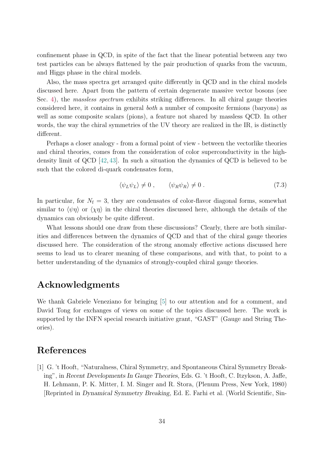confinement phase in QCD, in spite of the fact that the linear potential between any two test particles can be always flattened by the pair production of quarks from the vacuum, and Higgs phase in the chiral models.

Also, the mass spectra get arranged quite differently in QCD and in the chiral models discussed here. Apart from the pattern of certain degenerate massive vector bosons (see Sec. [4\)](#page-25-0), the *massless spectrum* exhibits striking differences. In all chiral gauge theories considered here, it contains in general both a number of composite fermions (baryons) as well as some composite scalars (pions), a feature not shared by massless QCD. In other words, the way the chiral symmetries of the UV theory are realized in the IR, is distinctly different.

Perhaps a closer analogy - from a formal point of view - between the vectorlike theories and chiral theories, comes from the consideration of color superconductivity in the highdensity limit of QCD [\[42,](#page-36-10) [43\]](#page-36-11). In such a situation the dynamics of QCD is believed to be such that the colored di-quark condensates form,

$$
\langle \psi_L \psi_L \rangle \neq 0 \,, \qquad \langle \psi_R \psi_R \rangle \neq 0 \,. \tag{7.3}
$$

In particular, for  $N_f = 3$ , they are condensates of color-flavor diagonal forms, somewhat similar to  $\langle \psi \eta \rangle$  or  $\langle \chi \eta \rangle$  in the chiral theories discussed here, although the details of the dynamics can obviously be quite different.

What lessons should one draw from these discussions? Clearly, there are both similarities and differences between the dynamics of QCD and that of the chiral gauge theories discussed here. The consideration of the strong anomaly effective actions discussed here seems to lead us to clearer meaning of these comparisons, and with that, to point to a better understanding of the dynamics of strongly-coupled chiral gauge theories.

### Acknowledgments

We thank Gabriele Veneziano for bringing [\[5\]](#page-34-1) to our attention and for a comment, and David Tong for exchanges of views on some of the topics discussed here. The work is supported by the INFN special research initiative grant, "GAST" (Gauge and String Theories).

### References

<span id="page-33-0"></span>[1] G. 't Hooft, "Naturalness, Chiral Symmetry, and Spontaneous Chiral Symmetry Breaking", in Recent Developments In Gauge Theories, Eds. G. 't Hooft, C. Itzykson, A. Jaffe, H. Lehmann, P. K. Mitter, I. M. Singer and R. Stora, (Plenum Press, New York, 1980) [Reprinted in Dynamical Symmetry Breaking, Ed. E. Farhi et al. (World Scientific, Sin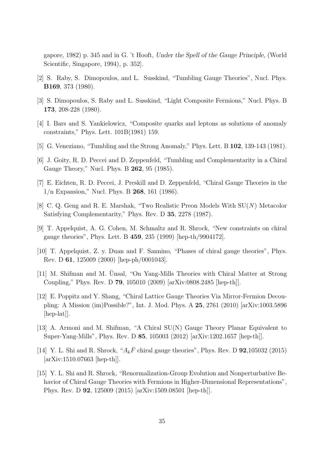gapore, 1982) p. 345 and in G. 't Hooft, Under the Spell of the Gauge Principle, (World Scientific, Singapore, 1994), p. 352.

- <span id="page-34-0"></span>[2] S. Raby, S. Dimopoulos, and L. Susskind, "Tumbling Gauge Theories", Nucl. Phys. B169, 373 (1980).
- <span id="page-34-5"></span>[3] S. Dimopoulos, S. Raby and L. Susskind, "Light Composite Fermions," Nucl. Phys. B 173, 208-228 (1980).
- <span id="page-34-2"></span>[4] I. Bars and S. Yankielowicz, "Composite quarks and leptons as solutions of anomaly constraints," Phys. Lett. 101B(1981) 159.
- <span id="page-34-1"></span>[5] G. Veneziano, "Tumbling and the Strong Anomaly," Phys. Lett. B 102, 139-143 (1981).
- [6] J. Goity, R. D. Peccei and D. Zeppenfeld, "Tumbling and Complementarity in a Chiral Gauge Theory," Nucl. Phys. B 262, 95 (1985).
- <span id="page-34-4"></span>[7] E. Eichten, R. D. Peccei, J. Preskill and D. Zeppenfeld, "Chiral Gauge Theories in the 1/n Expansion," Nucl. Phys. B 268, 161 (1986).
- [8] C. Q. Geng and R. E. Marshak, "Two Realistic Preon Models With SU(N) Metacolor Satisfying Complementarity," Phys. Rev. D 35, 2278 (1987).
- [9] T. Appelquist, A. G. Cohen, M. Schmaltz and R. Shrock, "New constraints on chiral gauge theories", Phys. Lett. B 459, 235 (1999) [hep-th/9904172].
- <span id="page-34-3"></span>[10] T. Appelquist, Z. y. Duan and F. Sannino, "Phases of chiral gauge theories", Phys. Rev. D 61, 125009 (2000) [hep-ph/0001043].
- [11] M. Shifman and M. Unsal, "On Yang-Mills Theories with Chiral Matter at Strong Coupling," Phys. Rev. D 79, 105010 (2009) [arXiv:0808.2485 [hep-th]].
- [12] E. Poppitz and Y. Shang, "Chiral Lattice Gauge Theories Via Mirror-Fermion Decoupling: A Mission (im)Possible?", Int. J. Mod. Phys. A 25, 2761 (2010) [arXiv:1003.5896 [hep-lat]].
- [13] A. Armoni and M. Shifman, "A Chiral SU(N) Gauge Theory Planar Equivalent to Super-Yang-Mills", Phys. Rev. D 85, 105003 (2012) [arXiv:1202.1657 [hep-th]].
- [14] Y. L. Shi and R. Shrock, " $A_k\bar{F}$  chiral gauge theories", Phys. Rev. D **92**,105032 (2015) [arXiv:1510.07663 [hep-th]].
- [15] Y. L. Shi and R. Shrock, "Renormalization-Group Evolution and Nonperturbative Behavior of Chiral Gauge Theories with Fermions in Higher-Dimensional Representations", Phys. Rev. D 92, 125009 (2015) [arXiv:1509.08501 [hep-th]].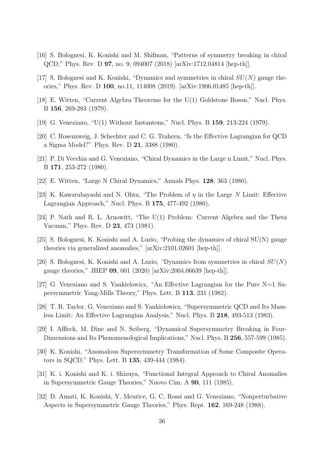- <span id="page-35-12"></span>[16] S. Bolognesi, K. Konishi and M. Shifman, "Patterns of symmetry breaking in chiral QCD," Phys. Rev. D 97, no. 9, 094007 (2018) [arXiv:1712.04814 [hep-th]].
- <span id="page-35-0"></span>[17] S. Bolognesi and K. Konishi, "Dynamics and symmetries in chiral  $SU(N)$  gauge theories," Phys. Rev. D 100, no.11, 114008 (2019). [arXiv:1906.01485 [hep-th]].
- <span id="page-35-1"></span>[18] E. Witten, "Current Algebra Theorems for the U(1) Goldstone Boson," Nucl. Phys. B 156, 269-283 (1979).
- <span id="page-35-2"></span>[19] G. Veneziano, "U(1) Without Instantons," Nucl. Phys. B 159, 213-224 (1979).
- <span id="page-35-3"></span>[20] C. Rosenzweig, J. Schechter and C. G. Trahern, "Is the Effective Lagrangian for QCD a Sigma Model?" Phys. Rev. D 21, 3388 (1980).
- [21] P. Di Vecchia and G. Veneziano, "Chiral Dynamics in the Large n Limit," Nucl. Phys. B 171, 253-272 (1980).
- [22] E. Witten, "Large N Chiral Dynamics," Annals Phys. 128, 363 (1980).
- [23] K. Kawarabayashi and N. Ohta, "The Problem of  $\eta$  in the Large N Limit: Effective Lagrangian Approach," Nucl. Phys. B 175, 477-492 (1980).
- <span id="page-35-4"></span>[24] P. Nath and R. L. Arnowitt, "The U(1) Problem: Current Algebra and the Theta Vacuum," Phys. Rev. D 23, 473 (1981).
- <span id="page-35-5"></span>[25] S. Bolognesi, K. Konishi and A. Luzio, "Probing the dynamics of chiral SU(N) gauge theories via generalized anomalies," [arXiv:2101.02601 [hep-th]].
- <span id="page-35-6"></span>[26] S. Bolognesi, K. Konishi and A. Luzio, "Dynamics from symmetries in chiral  $SU(N)$ gauge theories," JHEP 09, 001 (2020) [arXiv:2004.06639 [hep-th]].
- <span id="page-35-7"></span>[27] G. Veneziano and S. Yankielowicz, "An Effective Lagrangian for the Pure N=1 Supersymmetric Yang-Mills Theory," Phys. Lett. B 113, 231 (1982).
- [28] T. R. Taylor, G. Veneziano and S. Yankielowicz, "Supersymmetric QCD and Its Massless Limit: An Effective Lagrangian Analysis," Nucl. Phys. B 218, 493-513 (1983).
- <span id="page-35-8"></span>[29] I. Affleck, M. Dine and N. Seiberg, "Dynamical Supersymmetry Breaking in Four-Dimensions and Its Phenomenological Implications," Nucl. Phys. B 256, 557-599 (1985).
- <span id="page-35-9"></span>[30] K. Konishi, "Anomalous Supersymmetry Transformation of Some Composite Operators in SQCD," Phys. Lett. B 135, 439-444 (1984).
- <span id="page-35-10"></span>[31] K. i. Konishi and K. i. Shizuya, "Functional Integral Approach to Chiral Anomalies in Supersymmetric Gauge Theories," Nuovo Cim. A 90, 111 (1985).
- <span id="page-35-11"></span>[32] D. Amati, K. Konishi, Y. Meurice, G. C. Rossi and G. Veneziano, "Nonperturbative Aspects in Supersymmetric Gauge Theories," Phys. Rept. 162, 169-248 (1988).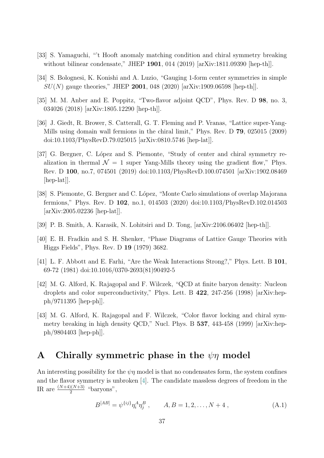- <span id="page-36-1"></span>[33] S. Yamaguchi, "'t Hooft anomaly matching condition and chiral symmetry breaking without bilinear condensate," JHEP 1901, 014 (2019) [arXiv:1811.09390 [hep-th]].
- <span id="page-36-2"></span>[34] S. Bolognesi, K. Konishi and A. Luzio, "Gauging 1-form center symmetries in simple  $SU(N)$  gauge theories," JHEP 2001, 048 (2020) [arXiv:1909.06598 [hep-th]].
- <span id="page-36-3"></span>[35] M. M. Anber and E. Poppitz, "Two-flavor adjoint QCD", Phys. Rev. D 98, no. 3, 034026 (2018) [arXiv:1805.12290 [hep-th]].
- <span id="page-36-5"></span>[36] J. Giedt, R. Brower, S. Catterall, G. T. Fleming and P. Vranas, "Lattice super-Yang-Mills using domain wall fermions in the chiral limit," Phys. Rev. D 79, 025015 (2009) doi:10.1103/PhysRevD.79.025015 [arXiv:0810.5746 [hep-lat]].
- [37] G. Bergner, C. López and S. Piemonte, "Study of center and chiral symmetry realization in thermal  $\mathcal{N} = 1$  super Yang-Mills theory using the gradient flow," Phys. Rev. D 100, no.7, 074501 (2019) doi:10.1103/PhysRevD.100.074501 [arXiv:1902.08469 [hep-lat].
- <span id="page-36-6"></span>[38] S. Piemonte, G. Bergner and C. López, "Monte Carlo simulations of overlap Majorana fermions," Phys. Rev. D 102, no.1, 014503 (2020) doi:10.1103/PhysRevD.102.014503 [arXiv:2005.02236 [hep-lat]].
- <span id="page-36-7"></span>[39] P. B. Smith, A. Karasik, N. Lohitsiri and D. Tong, [arXiv:2106.06402 [hep-th]].
- <span id="page-36-4"></span>[40] E. H. Fradkin and S. H. Shenker, "Phase Diagrams of Lattice Gauge Theories with Higgs Fields", Phys. Rev. D 19 (1979) 3682.
- <span id="page-36-9"></span>[41] L. F. Abbott and E. Farhi, "Are the Weak Interactions Strong?," Phys. Lett. B 101, 69-72 (1981) doi:10.1016/0370-2693(81)90492-5
- <span id="page-36-10"></span>[42] M. G. Alford, K. Rajagopal and F. Wilczek, "QCD at finite baryon density: Nucleon droplets and color superconductivity," Phys. Lett. B 422, 247-256 (1998) [arXiv:hepph/9711395 [hep-ph]].
- <span id="page-36-11"></span>[43] M. G. Alford, K. Rajagopal and F. Wilczek, "Color flavor locking and chiral symmetry breaking in high density QCD," Nucl. Phys. B 537, 443-458 (1999) [arXiv:hepph/9804403 [hep-ph]].

### <span id="page-36-0"></span>A Chirally symmetric phase in the  $\psi\eta$  model

An interesting possibility for the  $\psi\eta$  model is that no condensates form, the system confines and the flavor symmetry is unbroken [\[4\]](#page-34-2). The candidate massless degrees of freedom in the IR are  $\frac{(N+4)(N+3)}{2}$  "baryons",

<span id="page-36-8"></span>
$$
B^{[AB]} = \psi^{\{ij\}} \eta_i^A \eta_j^B , \qquad A, B = 1, 2, \dots, N+4 , \qquad (A.1)
$$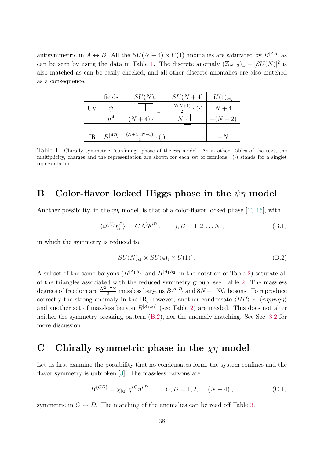<span id="page-37-3"></span>antisymmetric in  $A \leftrightarrow B$ . All the  $SU(N + 4) \times U(1)$  anomalies are saturated by  $B^{[AB]}$  as can be seen by using the data in Table [1.](#page-37-3) The discrete anomaly  $(\mathbb{Z}_{N+2})_{\psi} - [SU(N)]^2$  is also matched as can be easily checked, and all other discrete anomalies are also matched as a consequence.

|    | fields     | $SU(N)_{c}$                  | $SU(N+4)$                        | $U(1)_{\psi\eta}$ |
|----|------------|------------------------------|----------------------------------|-------------------|
|    | $\eta$     |                              | $\frac{N(N+1)}{2} \cdot (\cdot)$ | $N+4$             |
|    | $\eta^A$   | $(N+4)\cdot$                 | $N$ .                            | $-(N+2)$          |
| IR | $B^{[AB]}$ | $\frac{(N+4)(N+3)}{N}$ . (.) |                                  |                   |

Table 1: Chirally symmetric "confining" phase of the  $\psi\eta$  model. As in other Tables of the text, the multiplicity, charges and the representation are shown for each set of fermions. (·) stands for a singlet representation.

### <span id="page-37-0"></span>B Color-flavor locked Higgs phase in the  $\psi\eta$  model

Another possibility, in the  $\psi\eta$  model, is that of a color-flavor locked phase [\[10,](#page-34-3) [16\]](#page-35-12), with

$$
\langle \psi^{\{ij\}} \eta_i^B \rangle = C \Lambda^3 \delta^{jB} , \qquad j, B = 1, 2, \dots N , \qquad (B.1)
$$

in which the symmetry is reduced to

<span id="page-37-4"></span>
$$
SU(N)_{\rm cf} \times SU(4)_{\rm f} \times U(1)'.
$$
 (B.2)

A subset of the same baryons  $(B^{[A_1B_1]}$  and  $B^{[A_1B_2]}$  in the notation of Table [2\)](#page-38-1) saturate all of the triangles associated with the reduced symmetry group, see Table [2.](#page-38-1) The massless degrees of freedom are  $\frac{N^2+7N}{2}$  massless baryons  $B^{[A_1B]}$  and  $8N+1$  NG bosons. To reproduce correctly the strong anomaly in the IR, however, another condensate  $\langle BB \rangle \sim \langle \psi \eta \eta \psi \eta \eta \rangle$ and another set of massless baryon  $B^{[A_2B_2]}$  (see Table [2\)](#page-38-1) are needed. This does not alter neither the symmetry breaking pattern [\(B.2\)](#page-37-4), nor the anomaly matching. See Sec. [3.2](#page-15-1) for more discussion.

### <span id="page-37-1"></span>C Chirally symmetric phase in the  $\chi\eta$  model

Let us first examine the possibility that no condensates form, the system confines and the flavor symmetry is unbroken [\[3\]](#page-34-5). The massless baryons are

<span id="page-37-2"></span>
$$
B^{\{CD\}} = \chi_{[ij]} \eta^{i}{}^{C} \eta^{j}{}^{D} , \qquad C, D = 1, 2, \dots (N - 4) , \qquad (C.1)
$$

symmetric in  $C \leftrightarrow D$ . The matching of the anomalies can be read off Table [3.](#page-38-2)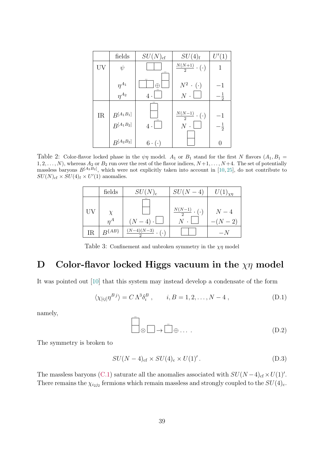<span id="page-38-1"></span>

|    | fields                           | $SU(N)_{\rm cf}$  | $SU(4)_f$                             | U'(1)                  |
|----|----------------------------------|-------------------|---------------------------------------|------------------------|
| UV | $\psi$                           |                   | $\frac{N(N+1)}{2} \cdot (\cdot)$      | 1                      |
|    | $\eta^{A_1}$                     |                   | $N^2$ $\cdot$ ( $\cdot$ )             | $^{\rm -1}$            |
|    | $\frac{\eta^{A_2}}{\eta^{A_2}}$  | $4 \cdot$         | $N$ .                                 |                        |
| IR | $B^{[A_1B_1]}$<br>$B^{[A_1B_2]}$ | $4 \cdot$         | $\frac{N(N-1)}{2} \cdot (\cdot)$<br>N | $-1$<br>$-\frac{1}{2}$ |
|    | $B^{[A_2B_2]}$                   | $6 \cdot (\cdot)$ |                                       |                        |

<span id="page-38-2"></span>Table 2: Color-flavor locked phase in the  $\psi\eta$  model.  $A_1$  or  $B_1$  stand for the first N flavors  $(A_1, B_1 =$  $1, 2, \ldots, N$ , whereas  $A_2$  or  $B_2$  run over the rest of the flavor indices,  $N+1, \ldots, N+4$ . The set of potentially massless baryons  $B^{[A_2B_2]}$ , which were not explicitly taken into account in [\[10,](#page-34-3) [25\]](#page-35-5), do not contribute to  $SU(N)_{\text{cf}} \times SU(4)_{\text{f}} \times U'(1)$  anomalies.

|    | fields       | $SU(N)_{\rm c}$              | $SU(N-4)$                         | $U(1)_{\chi\eta}$ |
|----|--------------|------------------------------|-----------------------------------|-------------------|
|    | $n^A$        | $(N-4)\cdot\lfloor$          | $\frac{N(N-1)}{N}$ . (.)<br>$N$ . | $N-4$<br>$-(N-2)$ |
| IR | $B^{\{AB\}}$ | $\frac{(N-4)(N-3)}{2}$ . (.) |                                   |                   |

Table 3: Confinement and unbroken symmetry in the  $\chi\eta$  model

### <span id="page-38-0"></span>D Color-flavor locked Higgs vacuum in the  $\chi\eta$  model

It was pointed out [\[10\]](#page-34-3) that this system may instead develop a condensate of the form

$$
\langle \chi_{[ij]}\eta^{Bj}\rangle = C\,\Lambda^3\delta_i^B\,,\qquad i, B = 1, 2, \dots, N-4\,,\tag{D.1}
$$

namely,

$$
\overline{\bigcup}_{\otimes \square \to \square \oplus \ldots} \overline{\square} \oplus \ldots \qquad (D.2)
$$

The symmetry is broken to

$$
SU(N-4)_{\rm cf} \times SU(4)_{\rm c} \times U(1)'
$$
 (D.3)

The massless baryons [\(C.1\)](#page-37-2) saturate all the anomalies associated with  $SU(N-4)_{\text{cf}} \times U(1)'$ . There remains the  $\chi_{i_2j_2}$  fermions which remain massless and strongly coupled to the  $SU(4)_c$ .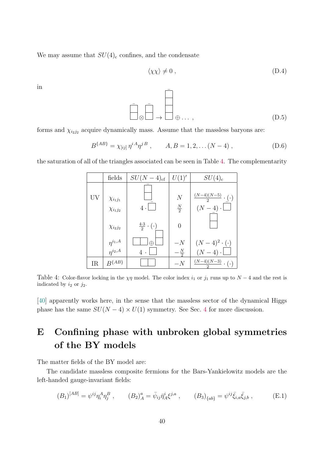We may assume that  $SU(4)_{c}$  confines, and the condensate

$$
\langle \chi \chi \rangle \neq 0 \tag{D.4}
$$

in

¯ ⊗ ¯ → ¯ ⊕ . . . , (D.5)

forms and  $\chi_{i_2j_2}$  acquire dynamically mass. Assume that the massless baryons are:

$$
B^{\{AB\}} = \chi_{[ij]} \eta^{iA} \eta^{jB} , \qquad A, B = 1, 2, \dots (N - 4) , \qquad (D.6)
$$

<span id="page-39-1"></span>the saturation of all of the triangles associated can be seen in Table [4.](#page-39-1) The complementarity

|    | fields                             | $SU(N-4)_{\rm cf}$              | U(1)'                           | $SU(4)_{\rm c}$                                      |
|----|------------------------------------|---------------------------------|---------------------------------|------------------------------------------------------|
| UV | $\chi_{i_1j_1}$<br>$\chi_{i_1j_2}$ | $4 \cdot$                       | $\overline{N}$<br>$\frac{N}{2}$ | $\frac{(N-4)(N-5)}{2} \cdot (\cdot)$<br>$(N-4)\cdot$ |
|    | $\chi_{i_2j_2}$                    | $\frac{4\cdot3}{2}\cdot(\cdot)$ | $\overline{0}$                  |                                                      |
|    | $\eta^{i_1,A} \over \eta^{i_2,A}$  | Æ                               | $-N$                            | $(N-4)^2\cdot(\cdot)$                                |
|    |                                    | $\overline{4}$                  | $-\frac{N}{2}$                  | $(N-4)\cdot$                                         |
| IR | $R^{\{AB\}}$                       |                                 | $-N$                            | $\frac{(N-4)(N-3)}{2} \cdot (\cdot)$                 |

Table 4: Color-flavor locking in the  $\chi\eta$  model. The color index  $i_1$  or  $j_1$  runs up to  $N-4$  and the rest is indicated by  $i_2$  or  $j_2$ .

[\[40\]](#page-36-4) apparently works here, in the sense that the massless sector of the dynamical Higgs phase has the same  $SU(N-4) \times U(1)$  $SU(N-4) \times U(1)$  $SU(N-4) \times U(1)$  symmetry. See Sec. 4 for more discussion.

# <span id="page-39-0"></span>E Confining phase with unbroken global symmetries of the BY models

The matter fields of the BY model are:

The candidate massless composite fermions for the Bars-Yankielowitz models are the left-handed gauge-invariant fields:

$$
(B_1)^{[AB]} = \psi^{ij} \eta_i^A \eta_j^B , \qquad (B_2)^a_A = \bar{\psi}_{ij} \bar{\eta}_A^i \xi^{j,a} , \qquad (B_3)_{\{ab\}} = \psi^{ij} \bar{\xi}_{i,a} \bar{\xi}_{j,b} , \qquad (E.1)
$$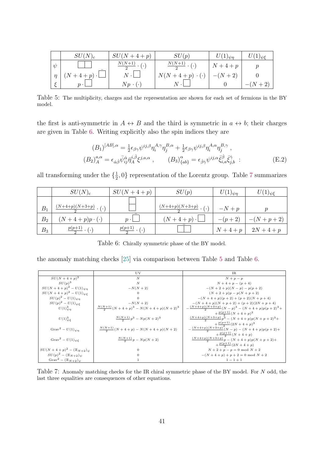<span id="page-40-2"></span>

|   | $SU(N)_{c}$            | $SU(N+4+p)$                      | SU(p)                             | $U(1)_{\psi\eta}$ | $U(1)_{\psi\xi}$ |
|---|------------------------|----------------------------------|-----------------------------------|-------------------|------------------|
| W |                        | $\frac{N(N+1)}{2} \cdot (\cdot)$ | $\frac{N(N+1)}{2} \cdot (\cdot)$  | $N+4+p$           |                  |
|   | $(N+4+p)\cdot \square$ | $N \cdot$                        | $N(N+4+p) \cdot (\cdot)   -(N+2)$ |                   |                  |
|   | $n \cdot$              | $Np \cdot (\cdot)$               |                                   |                   | $-(N+2)$         |

Table 5: The multiplicity, charges and the representation are shown for each set of fermions in the BY model.

the first is anti-symmetric in  $A \leftrightarrow B$  and the third is symmetric in  $a \leftrightarrow b$ ; their charges are given in Table [6.](#page-40-0) Writing explicitly also the spin indices they are

$$
(B_1)^{[AB],\alpha} = \frac{1}{2} \epsilon_{\beta\gamma} \psi^{ij,\beta} \eta_i^{A,\gamma} \eta_j^{B,\alpha} + \frac{1}{2} \epsilon_{\beta\gamma} \psi^{ij,\beta} \eta_i^{A,\alpha} \eta_j^{B,\gamma},
$$
  

$$
(B_2)^{a,\alpha}_{A} = \epsilon_{\dot{\alpha}\dot{\beta}} \bar{\psi}_{ij}^{\dot{\alpha}} \bar{\eta}_A^{i,\dot{\beta}} \xi^{j,a,\alpha}, \qquad (B_3)^{\alpha}_{\{ab\}} = \epsilon_{\dot{\beta}\dot{\gamma}} \psi^{ij,\alpha} \bar{\xi}_{i,a}^{\dot{\beta}} \bar{\xi}_{j,b}^{\dot{\gamma}}.
$$
 (E.2)

all transforming under the  $\{\frac{1}{2}\}$  $\frac{1}{2}$ , 0} representation of the Lorentz group. Table [7](#page-40-1) summarizes

<span id="page-40-0"></span>

|                | $SU(N)_{\rm c}$        | $SU(N+4+p)$                  | SU(p)                            | $U(1)_{\psi\eta}$ | $U(1)_{\psi\xi}$ |
|----------------|------------------------|------------------------------|----------------------------------|-------------------|------------------|
|                | $(N+4+p)(N+3+p)$       |                              | $\frac{(N+4+p)(N+3+p)}{(N+3+p)}$ |                   |                  |
| $B_1$          |                        |                              |                                  | $-N+p$            |                  |
| B <sub>2</sub> | $(N+4+p)p\cdot(\cdot)$ | $n \cdot$                    | $(N+4+p)\cdot \lfloor$           | $-(p+2)$          | $-(N+p+2)$       |
| $B_3$          | $p(p+1)$<br>$\cdot$    | $p(p+1)$<br>$\mathfrak{c}$ . |                                  | $N+4+p$           | $2N + 4 + p$     |

Table 6: Chirally symmetric phase of the BY model.

the anomaly matching checks [\[25\]](#page-35-5) via comparison between Table [5](#page-40-2) and Table [6.](#page-40-0)

<span id="page-40-1"></span>

|                                                 | UV                                            | IR.                                                 |
|-------------------------------------------------|-----------------------------------------------|-----------------------------------------------------|
| $SU(N + 4 + p)^3$                               | $\overline{N}$                                | $N+p-p$                                             |
| $SU(p)^3$                                       | $\boldsymbol{N}$                              | $N+4+p-(p+4)$                                       |
| $SU(N+4+p)^{2} - U(1)_{\psi\eta}$               | $-N(N+2)$                                     | $-(N+2+p)(N-p) - p(p+2)$                            |
| $SU(N+4+p)^2 - U(1)_{\psi\xi}$                  |                                               | $(N+2+p)p - p(N+p+2)$                               |
| $SU(p)^{2} - U(1)_{\psi n}$                     |                                               | $-(N+4+p)(p+2)+(p+2)(N+p+4)$                        |
| $SU(p)^{2} - U(1)_{\psi \xi}$                   | $-N(N+2)$                                     | $-(N+4+p)(N+p+2)+(p+2)(2N+p+4)$                     |
| $U(1)^{3}_{\psi n}$                             | $\frac{N(N+1)}{2}(N+4+p)^3 - N(N+4+p)(N+2)^3$ | $-\frac{(N+4+p)(N+3+p)}{2}(N-p)^3-(N+4+p)p(p+2)^3+$ |
|                                                 |                                               | $+\frac{p(p+1)}{2}(N+4+p)^3$                        |
| $U(1)_{\psi\in\mathcal{E}}^3$                   | $\frac{N(N+1)}{2}p^3 - Np(N+2)^3$             | $\frac{(N+4+p)(N+3+p)}{2}p^3 - (N+4+p)p(N+p+2)^3 +$ |
|                                                 |                                               | $+\frac{p(p+1)}{2}(2N+4+p)^3$                       |
| Grav <sup>2</sup> – $U(1)_{\psi n}$             | $\frac{N(N+1)}{2}(N+4+p) - N(N+4+p)(N+2)$     | $-\frac{(N+4+p)(N+3+p)}{2}(N-p)-(N+4+p)p(p+2)+$     |
|                                                 |                                               | $+\frac{p(p+1)}{2}(N+4+p)$                          |
| Grav <sup>2</sup> – $U(1)_{\psi\xi}$            | $\frac{N(N+1)}{2}p - Np(N+2)$                 | $\frac{(N+4+p)(N+3+p)}{2}p - (N+4+p)p(N+p+2)+$      |
|                                                 |                                               | $+\frac{p(p+1)}{2}(2N+4+p)$                         |
| $SU(N+4+p)^2 - (\mathbb{Z}_{N+2})_{\psi}$       | 0                                             | $N+2+p-p=0 \text{ mod } N+2$                        |
| $SU(p)^2 - (\mathbb{Z}_{N+2})_{\psi}$           |                                               | $-(N+4+p)+p+2=0$ mod $N+2$                          |
| Grav <sup>2</sup> – $(\mathbb{Z}_{N+2})_{\psi}$ |                                               | $1 - 1 + 1$                                         |

Table 7: Anomaly matching checks for the IR chiral symmetric phase of the BY model. For N odd, the last three equalities are consequences of other equations.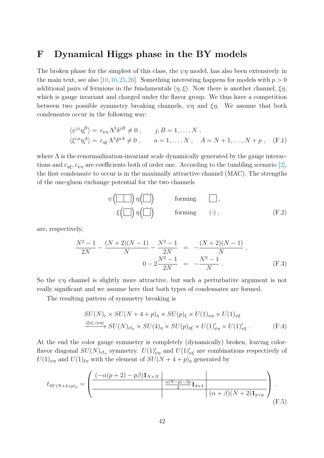### <span id="page-41-0"></span>F Dynamical Higgs phase in the BY models

The broken phase for the simplest of this class, the  $\psi\eta$  model, has also been extensively in the main text, see also [\[10,](#page-34-3)[16,](#page-35-12)[25,](#page-35-5)[26\]](#page-35-6). Something interesting happens for models with  $p > 0$ additional pairs of fermions in the fundamentals  $(\eta, \xi)$ . Now there is another channel,  $\xi \eta$ , which is gauge invariant and charged under the flavor group. We thus have a competition between two possible symmetry breaking channels,  $\psi \eta$  and  $\xi \eta$ . We assume that both condensates occur in the following way:

$$
\langle \psi^{ij} \eta_i^B \rangle = c_{\psi \eta} \Lambda^3 \delta^{jB} \neq 0 , \qquad j, B = 1, ..., N ,
$$
  

$$
\langle \xi^{i,a} \eta_i^A \rangle = c_{\eta \xi} \Lambda^3 \delta^{aA} \neq 0 , \qquad a = 1, ..., N , \quad A = N + 1, ..., N + p , \quad (F.1)
$$

where  $\Lambda$  is the renormailization-invariant scale dynamically generated by the gauge interactions and  $c_{n\epsilon}$ ,  $c_{\psi n}$  are coefficients both of order one. According to the tumbling scenario [\[2\]](#page-34-0), the first condensate to occur is in the maximally attractive channel (MAC). The strengths of the one-gluon exchange potential for the two channels

$$
\psi\left(\boxed{\boxed{\phantom{0}}}\right)\eta\left(\boxed{\boxed{\phantom{0}}}\right) \qquad \text{forming} \qquad \boxed{\phantom{0}}\,,
$$
\n
$$
\xi\left(\boxed{\phantom{0}}\right)\eta\left(\boxed{\boxed{\phantom{0}}}\right) \qquad \text{forming} \qquad (\cdot) \,, \qquad (\text{F.2})
$$

are, respectively,

$$
\frac{N^2 - 1}{2N} - \frac{(N+2)(N-1)}{N} - \frac{N^2 - 1}{2N} = -\frac{(N+2)(N-1)}{N},
$$
  

$$
0 - 2\frac{N^2 - 1}{2N} = -\frac{N^2 - 1}{N}.
$$
 (F.3)

So the  $\psi\eta$  channel is slightly more attractive, but such a perturbative argument is not really significant and we assume here that both types of condensates are formed.

The resulting pattern of symmetry breaking is

<span id="page-41-1"></span>
$$
SU(N)_{\rm c} \times SU(N + 4 + p)_{\eta} \times SU(p)_{\xi} \times U(1)_{\psi\eta} \times U(1)_{\psi\xi}
$$
  

$$
\xrightarrow{\langle \xi\eta \rangle, \langle \psi\eta \rangle} SU(N)_{\rm cf_{\eta}} \times SU(4)_{\eta} \times SU(p)_{\eta\xi} \times U(1)'_{\psi\eta} \times U(1)'_{\psi\xi} .
$$
 (F.4)

At the end the color gauge symmetry is completely (dynamically) broken, leaving colorflavor diagonal  $SU(N)_{cf\eta}$  symmetry.  $U(1)'_{\psi\eta}$  and  $U(1)'_{\psi\xi}$  are combinations respectively of  $U(1)_{\psi\eta}$  and  $U(1)_{\xi\eta}$  with the element of  $SU(N+4+p)_{\eta}$  generated by

$$
t_{SU(N+4+p)_{\eta}} = \left(\frac{(-\alpha(p+2) - p\beta) \mathbf{1}_{N \times N}}{\frac{\alpha(N-p) - \beta p}{2} \mathbf{1}_{4 \times 4}} \right) \cdot (\alpha + \beta)(N+2) \mathbf{1}_{p \times p}\right)_{(F.5)}
$$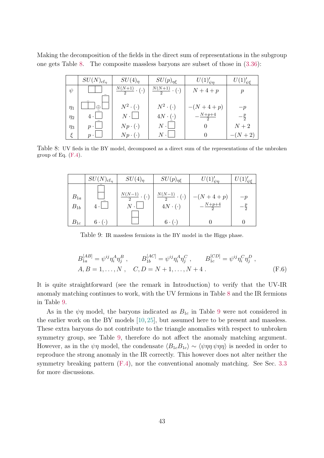<span id="page-42-0"></span>Making the decomposition of the fields in the direct sum of representations in the subgroup one gets Table [8.](#page-42-0) The composite massless baryons are subset of those in [\(3.36\)](#page-19-1):

|          | $SU(N)_{\text{cf}_n}$ | $SU(4)_\eta$                     | $SU(p)_{\eta\xi}$                | $U(1)'_{\psi\eta}$ | $U(1)'_{\psi \xi}$ |
|----------|-----------------------|----------------------------------|----------------------------------|--------------------|--------------------|
| $\psi$   |                       | $\frac{N(N+1)}{2} \cdot (\cdot)$ | $\frac{N(N+1)}{2} \cdot (\cdot)$ | $N+4+p$            |                    |
| $\eta_1$ | क़                    | $N^2 \cdot (\cdot)$              | $N^2 \cdot (\cdot)$              | $-(N+4+p)$         | $-p$               |
| $\eta_2$ | $4 \cdot$             | $N$ .                            | $4N \cdot ( \cdot )$             | $-\frac{N+p+4}{2}$ | $-\frac{p}{2}$     |
| $\eta_3$ | $\boldsymbol{p}$      | $Np \cdot (\cdot)$               | $N \cdot$                        |                    | $N+2$              |
| È        | $p \cdot$             | $Np \cdot (\cdot)$               | $N \cdot$                        |                    | $-(N+2)$           |

<span id="page-42-1"></span>Table 8: UV fieds in the BY model, decomposed as a direct sum of the representations of the unbroken group of Eq.  $(F.4)$ .

|                      | $SU(N)_{\text{cf}_{\eta}}$ | $SU(4)_\eta$                     | $SU(p)_{\eta\xi}$                                        | $U(1)'_{\psi\eta}$        | $\omega(1)'_{\underline{\psi}\xi}$ |
|----------------------|----------------------------|----------------------------------|----------------------------------------------------------|---------------------------|------------------------------------|
| $B_{1a}$<br>$B_{1b}$ | $4 \cdot$                  | $\frac{N(N-1)}{2} \cdot (\cdot)$ | $\frac{N(N-1)}{2} \cdot (\cdot)$<br>$4N \cdot ( \cdot )$ | $-(N+4+p)$<br>$N + p + 4$ | $-p$<br>- 5                        |
| $B_{1c}$             | $6 \cdot (\cdot)$          |                                  | $6 \cdot (\cdot)$                                        |                           |                                    |

Table 9: IR massless fermions in the BY model in the Higgs phase.

<span id="page-42-2"></span>
$$
B_{1a}^{[AB]} = \psi^{ij} \eta_i^A \eta_j^B , \qquad B_{1b}^{[AC]} = \psi^{ij} \eta_i^A \eta_j^C , \qquad B_{1c}^{[CD]} = \psi^{ij} \eta_i^C \eta_j^D ,
$$
  
\n
$$
A, B = 1, ..., N , \quad C, D = N + 1, ..., N + 4 .
$$
 (F.6)

It is quite straightforward (see the remark in Introduction) to verify that the UV-IR anomaly matching continues to work, with the UV fermions in Table [8](#page-42-0) and the IR fermions in Table [9.](#page-42-1)

As in the  $\psi\eta$  model, the baryons indicated as  $B_{1c}$  in Table [9](#page-42-1) were not considered in the earlier work on the BY models [\[10,](#page-34-3) [25\]](#page-35-5), but assumed here to be present and massless. These extra baryons do not contribute to the triangle anomalies with respect to unbroken symmetry group, see Table [9,](#page-42-1) therefore do not affect the anomaly matching argument. However, as in the  $\psi\eta$  model, the condensate  $\langle B_{1c}B_{1c} \rangle \sim \langle \psi\eta\eta \psi\eta\eta \rangle$  is needed in order to reproduce the strong anomaly in the IR correctly. This however does not alter neither the symmetry breaking pattern  $(F.4)$ , nor the conventional anomaly matching. See Sec. [3.3](#page-19-0) for more discussions.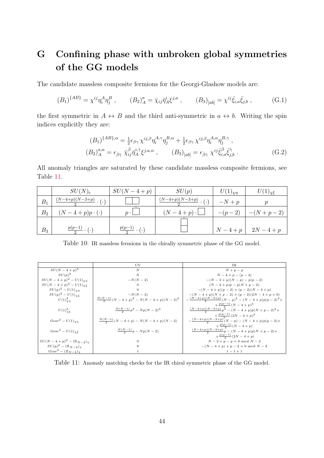# <span id="page-43-0"></span>G Confining phase with unbroken global symmetries of the GG models

The candidate massless composite fermions for the Georgi-Glashow models are:

<span id="page-43-3"></span>
$$
(B_1)^{\{AB\}} = \chi^{ij} \eta_i^A \eta_j^B , \qquad (B_2)^a_A = \bar{\chi}_{ij} \bar{\eta}_A^i \xi^{j,a} , \qquad (B_3)_{[ab]} = \chi^{ij} \bar{\xi}_{i,a} \bar{\xi}_{j,b} , \qquad (G.1)
$$

the first symmetric in  $A \leftrightarrow B$  and the third anti-symmetric in  $a \leftrightarrow b$ . Writing the spin indices explicitly they are:

<span id="page-43-1"></span>
$$
(B_1)^{\{AB\},\alpha} = \frac{1}{2} \epsilon_{\beta\gamma} \chi^{ij,\beta} \eta_i^{A,\gamma} \eta_j^{B,\alpha} + \frac{1}{2} \epsilon_{\beta\gamma} \chi^{ij,\beta} \eta_i^{A,\alpha} \eta_j^{B,\gamma},
$$
  

$$
(B_2)^{a,\alpha}_{A} = \epsilon_{\dot{\beta}\dot{\gamma}} \bar{\eta}_A^{i\dot{\gamma}} \xi^{j,a,\alpha}, \qquad (B_3)_{[ab]} = \epsilon_{\dot{\beta}\dot{\gamma}} \chi^{ij} \bar{\xi}_{i,a}^{\dot{\beta}} \bar{\xi}_{j,b}^{\dot{\gamma}}.
$$
 (G.2)

All anomaly triangles are saturated by these candidate massless composite fermions, see Table [11.](#page-43-2)

|                | $SU(N)_{\rm c}$                  | $SU(N-4+p)$                  | SU(p)            | $U(1)_{\chi\eta}$ | $U(1)_{\chi\xi}$ |
|----------------|----------------------------------|------------------------------|------------------|-------------------|------------------|
| $B_1$          | $\frac{(N-4+p)(N-3+p)}{(N-3+p)}$ |                              | $(N-4+p)(N-3+p)$ | $-N+p$            |                  |
| B <sub>2</sub> | $(N-4+p)p\cdot(\cdot)$           | $n \cdot$                    | $(N-4+p)\cdot$   | $-(p-2)$          | $-(N+p-2)$       |
| $B_3$          | $p(p-1)$                         | $p(p-1)$<br>$\mathfrak{c}$ . |                  | $N-4+p^{-1}$      | $2N-4+p$         |

Table 10: IR massless fermions in the chirally symmetric phase of the GG model.

<span id="page-43-2"></span>

|                                                 | UV                                            | TR.                                                 |
|-------------------------------------------------|-----------------------------------------------|-----------------------------------------------------|
| $SU(N-4+p)^3$                                   | $\boldsymbol{N}$                              | $N+p-p$                                             |
| $SU(p)^3$                                       | $\overline{N}$                                | $N-4+p-(p-4)$                                       |
| $SU(N-4+p)^2-U(1)_{\chi n}$                     | $-N(N-2)$                                     | $-(N-2+p)(N-p) - p(p-2)$                            |
| $SU(N-4+p)^{2} - U(1)_{\gamma}$                 | $\theta$                                      | $(N-2+p)p-p(N+p-2)$                                 |
| $SU(p)^{2} - U(1)_{\chi\eta}$                   | $\Omega$                                      | $-(N-4+p)(p-2)+(p-2)(N-4+p)$                        |
| $SU(p)^2 - U(1)_{\chi\xi}$                      | $-N(N-2)$                                     | $-(N-4+p)(N+p-2)+(p-2)(2N-4+p+0)$                   |
| $U(1)_{\nu n}^{3}$                              | $\frac{N(N-1)}{2}(N-4+p)^3 - N(N-4+p)(N-2)^3$ | $-\frac{(N-4+p)(N-3+p)}{2}(N-p)^3-(N-4+p)p(p-2)^3+$ |
|                                                 |                                               | $+\frac{p(p-1)}{2}(N-4+p)^3$                        |
| $U(1)^{3}_{\chi\xi}$                            | $\frac{N(N-1)}{2}p^3 - Np(N-2)^3$             | $\frac{(N-4+p)(N-3+p)}{2}p^3 - (N-4+p)p(N+p-2)^3 +$ |
|                                                 |                                               | $+\frac{p(p-1)}{2}(2N-4+p)^3$                       |
| $Grav^2 - U(1)_{\gamma n}$                      | $\frac{N(N-1)}{2}(N-4+p) - N(N-4+p)(N-2)$     | $-\frac{(N-4+p)(N-3+p)}{2}(N-p)-(N-4+p)p(p-2)+$     |
|                                                 |                                               | $+\frac{p(p-1)}{2}(N-4+p)$                          |
| Grav <sup>2</sup> – $U(1)_{\gamma \xi}$         | $\frac{N(N-1)}{2}p-Np(N-2)$                   | $\frac{(N-4+p)(N-3+p)}{2}p - (N-4+p)p(N+p-2)+$      |
|                                                 |                                               | $+\frac{p(p-1)}{2}(2N-4+p)$                         |
| $SU(N-4+p)^2 - (\mathbb{Z}_{N-2})_Y$            | $\Omega$                                      | $N-2+p-p=0 \text{ mod } N-2$                        |
| $SU(p)^2 - (\mathbb{Z}_{N-2})_Y$                | $\Omega$                                      | $-(N-4+p)+p-2=0$ mod $N-2$                          |
| Grav <sup>2</sup> – $(\mathbb{Z}_{N-2})_{\chi}$ |                                               | $1 - 1 + 1$                                         |

Table 11: Anomaly matching checks for the IR chiral symmetric phase of the GG model.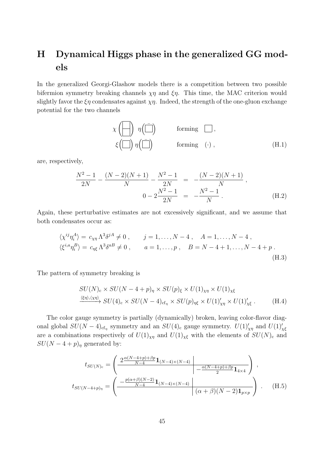# <span id="page-44-0"></span>H Dynamical Higgs phase in the generalized GG models

In the generalized Georgi-Glashow models there is a competition between two possible bifermion symmetry breaking channels  $\chi \eta$  and  $\xi \eta$ . This time, the MAC criterion would slightly favor the  $\xi \eta$  condensates against  $\chi \eta$ . Indeed, the strength of the one-gluon exchange potential for the two channels

$$
\chi\left(\square\right) \eta\left(\square\right) \qquad \text{forming } \square, \\ \xi\left(\square\right) \eta\left(\square\right) \qquad \text{forming } (\cdot), \qquad (H.1)
$$

are, respectively,

$$
\frac{N^2 - 1}{2N} - \frac{(N-2)(N+1)}{N} - \frac{N^2 - 1}{2N} = -\frac{(N-2)(N+1)}{N},
$$
  
\n
$$
0 - 2\frac{N^2 - 1}{2N} = -\frac{N^2 - 1}{N}.
$$
 (H.2)

Again, these perturbative estimates are not excessively significant, and we assume that both condensates occur as:

$$
\langle \chi^{ij} \eta_i^A \rangle = c_{\chi\eta} \Lambda^3 \delta^{jA} \neq 0 , \qquad j = 1, ..., N - 4 , A = 1, ..., N - 4 ,
$$
  

$$
\langle \xi^{i,a} \eta_i^B \rangle = c_{\eta\xi} \Lambda^3 \delta^{aB} \neq 0 , \qquad a = 1, ..., p , B = N - 4 + 1, ..., N - 4 + p .
$$
  
(H.3)

The pattern of symmetry breaking is

<span id="page-44-1"></span>
$$
SU(N)_{\rm c} \times SU(N-4+p)_{\eta} \times SU(p)_{\xi} \times U(1)_{\chi\eta} \times U(1)_{\chi\xi}
$$
  

$$
\xrightarrow{\langle \xi\eta \rangle, \langle \chi\eta \rangle} SU(4)_{\rm c} \times SU(N-4)_{\rm cf_{\eta}} \times SU(p)_{\eta\xi} \times U(1)'_{\chi\eta} \times U(1)'_{\chi\xi} . \tag{H.4}
$$

The color gauge symmetry is partially (dynamically) broken, leaving color-flavor diagonal global  $SU(N-4)_{\text{cf}_{\eta}}$  symmetry and an  $SU(4)_{\text{c}}$  gauge symmetry.  $U(1)'_{\chi\eta}$  and  $U(1)'_{\chi\xi}$ are a combinations respectively of  $U(1)_{\chi\eta}$  and  $U(1)_{\chi\xi}$  with the elements of  $SU(N)_{c}$  and  $SU(N-4+p)_{\eta}$  generated by:

$$
t_{SU(N)_c} = \left(\frac{2\frac{\alpha(N-4+p)+\beta p}{N-4} \mathbf{1}_{(N-4)\times(N-4)}}{N-4} \middle| -\frac{\alpha(N-4+p)+\beta p}{2} \mathbf{1}_{4\times4} \right),
$$
  

$$
t_{SU(N-4+p)_\eta} = \left(\frac{-\frac{p(\alpha+\beta)(N-2)}{N-4} \mathbf{1}_{(N-4)\times(N-4)}}{(N-4)(N-2) \mathbf{1}_{p\times p}}\right).
$$
 (H.5)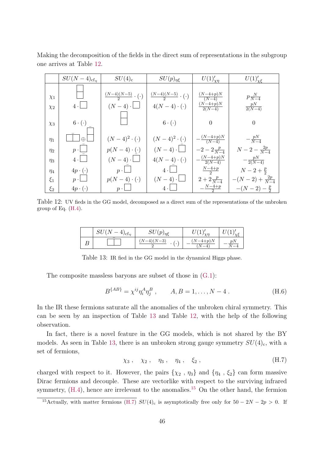Making the decomposition of the fields in the direct sum of representations in the subgroup one arrives at Table [12.](#page-45-0)

<span id="page-45-0"></span>

|          | $SU(N-4)_{\text{cf}_n}$ | $SU(4)_c$                            | $SU(p)_{\eta\xi}$                    | $U(1)'_{\chi\eta}$        | $U(1)'_{\chi\xi}$       |
|----------|-------------------------|--------------------------------------|--------------------------------------|---------------------------|-------------------------|
| $\chi_1$ |                         | $\frac{(N-4)(N-5)}{2} \cdot (\cdot)$ | $\frac{(N-4)(N-5)}{2} \cdot (\cdot)$ | $\frac{(N-4+p)N}{(N-4)}$  | $p\frac{N}{N-4}$        |
| $\chi_2$ | $4 \cdot  $             | $(N-4)\cdot$                         | $4(N-4)\cdot(\cdot)$                 | $\frac{(N-4+p)N}{2(N-4)}$ | $\frac{pN}{2(N-4)}$     |
| $\chi_3$ | $6 \cdot (\cdot)$       |                                      | $6 \cdot (\cdot)$                    | $\Omega$                  | $\Omega$                |
| $\eta_1$ | $\oplus$                | $(N-4)^2 \cdot (.)$                  | $(N-4)^2 \cdot (\cdot)$              | $-\frac{(N-4+p)N}{(N-4)}$ | $-\frac{pN}{N-4}$       |
| $\eta_2$ | $p \cdot$               | $p(N-4)\cdot(\cdot)$                 | $(N-4)\cdot$                         | $-2-2\frac{p}{N-4}$       | $N-2-\frac{2p}{N-4}$    |
| $\eta_3$ | $4 \cdot$               | $(N-4)\cdot$                         | $4(N-4)\cdot(\cdot)$                 | $\frac{(N-4+p)N}{2(N-4)}$ | $-\frac{pN}{2(N-4)}$    |
| $\eta_4$ | $4p \cdot (\cdot)$      | $p \cdot$                            | 4.                                   | $\frac{N-4+p}{2}$         | $N-2+\frac{p}{2}$       |
| $\xi_1$  | $p \cdot \lfloor$       | $p(N-4)\cdot(\cdot)$                 | $(N-4)\cdot$                         | $2 + 2\frac{p}{N-4}$      | $-(N-2)+\frac{2p}{N-4}$ |
| $\xi_2$  | $4p \cdot (\cdot)$      | p                                    | $4 \cdot$                            | $-\frac{N-4+p}{2}$        | $-(N-2)-\frac{p}{2}$    |

<span id="page-45-1"></span>Table 12: UV fieds in the GG model, decomposed as a direct sum of the representations of the unbroken group of Eq. [\(H.4\)](#page-44-1).

| $CI$ <sup><math>7</math></sup><br>$lct_n$<br>~ U | $\boldsymbol{r}$<br>ν∪         | $_{\mathcal{V}}$ n<br>ັ | ັ          |
|--------------------------------------------------|--------------------------------|-------------------------|------------|
|                                                  | $(-4)(N-3)$<br>IJ<br>$\bullet$ | $V-4+p$ ).              | $p\Lambda$ |

Table 13: IR fied in the GG model in the dynamical Higgs phase.

The composite massless baryons are subset of those in  $(G.1)$ :

<span id="page-45-3"></span>
$$
B^{\{AB\}} = \chi^{ij} \eta_i^A \eta_j^B , \qquad A, B = 1, \dots, N - 4 . \tag{H.6}
$$

In the IR these fermions saturate all the anomalies of the unbroken chiral symmetry. This can be seen by an inspection of Table [13](#page-45-1) and Table [12,](#page-45-0) with the help of the following observation.

In fact, there is a novel feature in the GG models, which is not shared by the BY models. As seen in Table [13,](#page-45-1) there is an unbroken strong gauge symmetry  $SU(4)_{c}$ , with a set of fermions,

<span id="page-45-2"></span>
$$
\chi_3 \,, \quad \chi_2 \,, \quad \eta_3 \,, \quad \eta_4 \,, \quad \xi_2 \,, \tag{H.7}
$$

charged with respect to it. However, the pairs  $\{\chi_2, \eta_3\}$  and  $\{\eta_4, \xi_2\}$  can form massive Dirac fermions and decouple. These are vectorlike with respect to the surviving infrared symmetry,  $(H.4)$ , hence are irrelevant to the anomalies.<sup>[15](#page-0-0)</sup> On the other hand, the fermion

<sup>&</sup>lt;sup>15</sup>Actually, with matter fermions [\(H.7\)](#page-45-2)  $SU(4)$ <sub>c</sub> is asymptotically free only for  $50 - 2N - 2p > 0$ . If